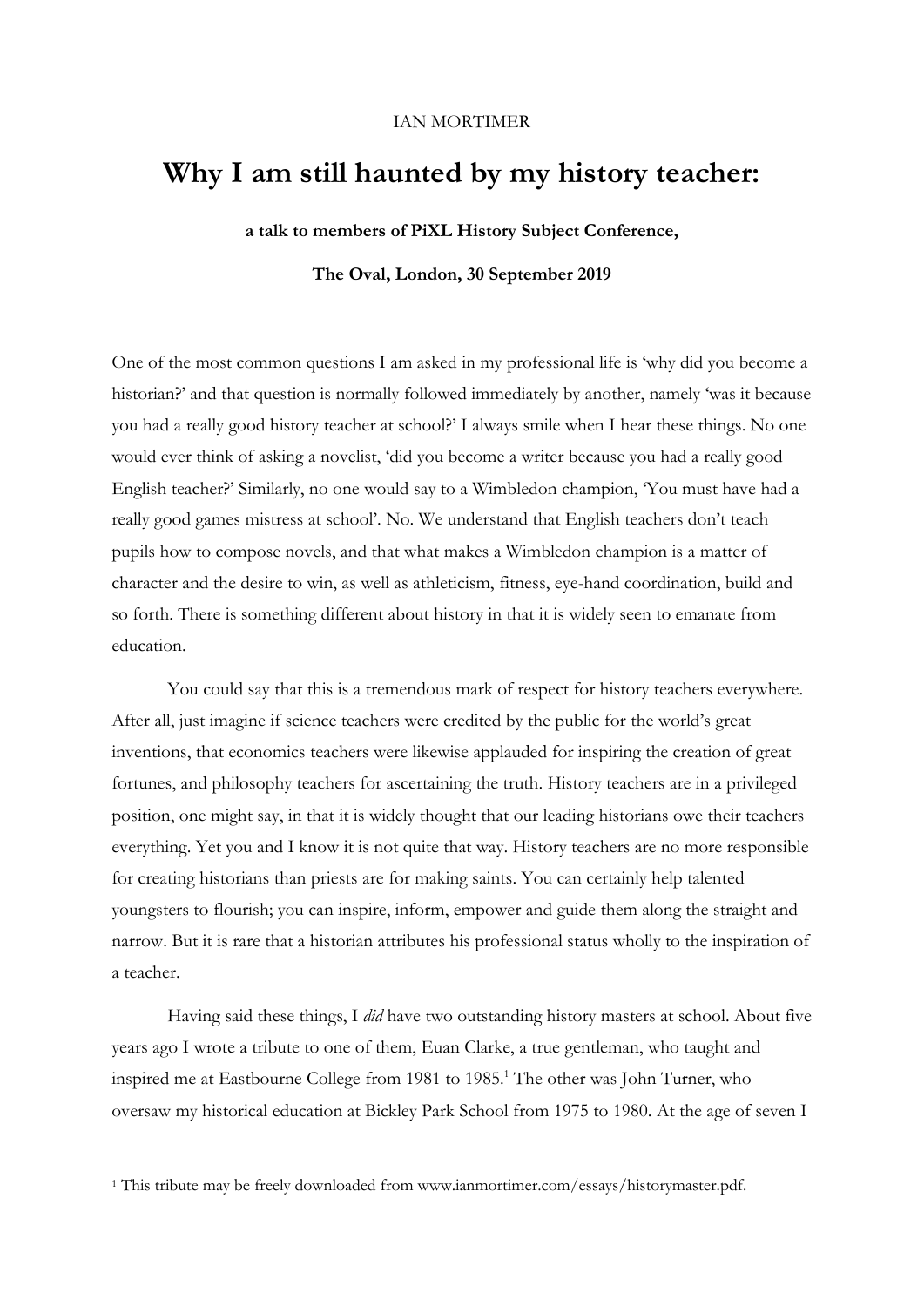#### IAN MORTIMER

# **Why I am still haunted by my history teacher:**

**a talk to members of PiXL History Subject Conference,**

**The Oval, London, 30 September 2019**

One of the most common questions I am asked in my professional life is 'why did you become a historian?' and that question is normally followed immediately by another, namely 'was it because you had a really good history teacher at school?' I always smile when I hear these things. No one would ever think of asking a novelist, 'did you become a writer because you had a really good English teacher?' Similarly, no one would say to a Wimbledon champion, 'You must have had a really good games mistress at school'. No. We understand that English teachers don't teach pupils how to compose novels, and that what makes a Wimbledon champion is a matter of character and the desire to win, as well as athleticism, fitness, eye-hand coordination, build and so forth. There is something different about history in that it is widely seen to emanate from education.

You could say that this is a tremendous mark of respect for history teachers everywhere. After all, just imagine if science teachers were credited by the public for the world's great inventions, that economics teachers were likewise applauded for inspiring the creation of great fortunes, and philosophy teachers for ascertaining the truth. History teachers are in a privileged position, one might say, in that it is widely thought that our leading historians owe their teachers everything. Yet you and I know it is not quite that way. History teachers are no more responsible for creating historians than priests are for making saints. You can certainly help talented youngsters to flourish; you can inspire, inform, empower and guide them along the straight and narrow. But it is rare that a historian attributes his professional status wholly to the inspiration of a teacher.

Having said these things, I *did* have two outstanding history masters at school. About five years ago I wrote a tribute to one of them, Euan Clarke, a true gentleman, who taught and inspired me at Eastbourne College from 1981 to 1985.<sup>1</sup> The other was John Turner, who oversaw my historical education at Bickley Park School from 1975 to 1980. At the age of seven I

<sup>&</sup>lt;sup>1</sup> This tribute may be freely downloaded from www.ianmortimer.com/essays/historymaster.pdf.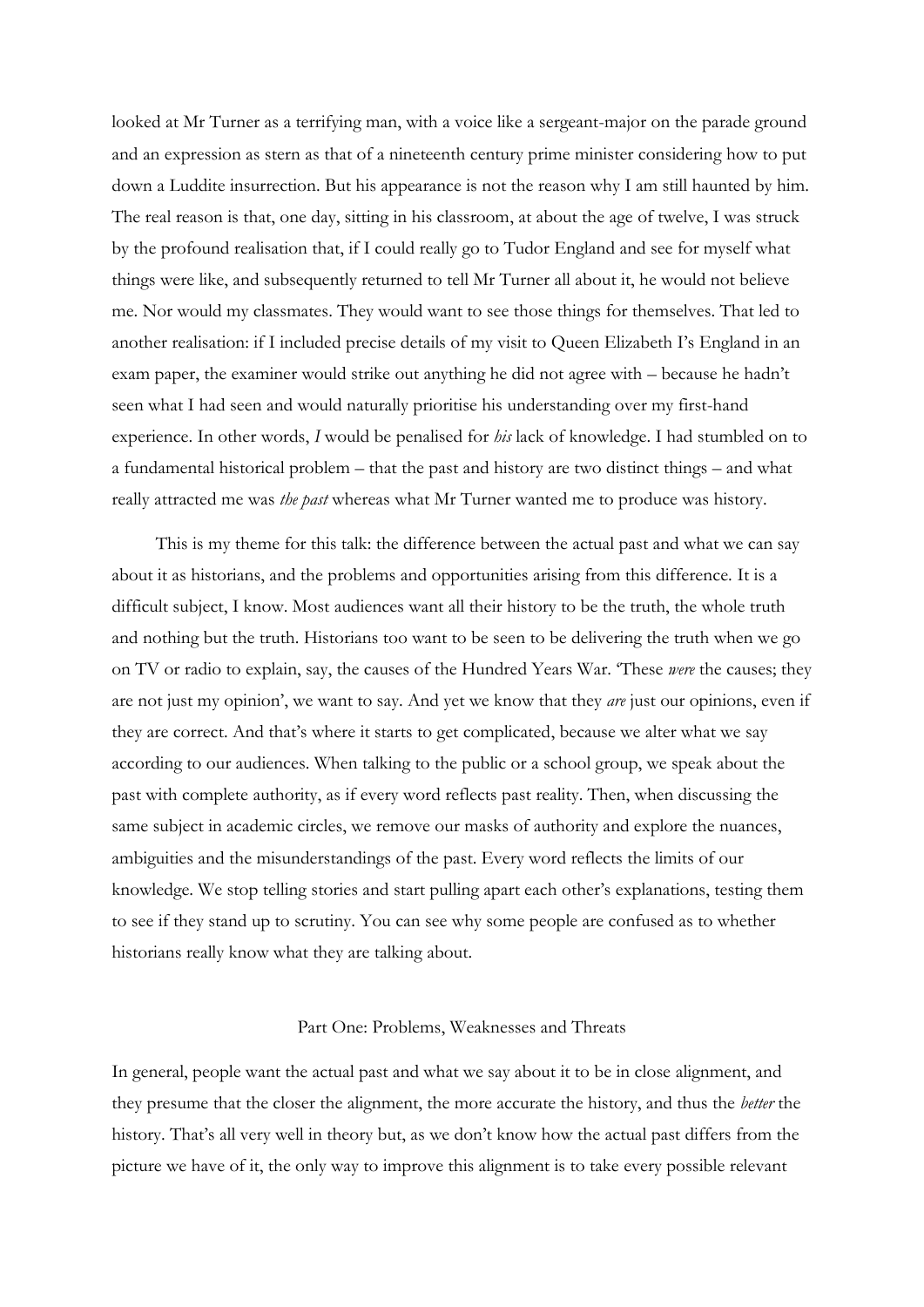looked at Mr Turner as a terrifying man, with a voice like a sergeant-major on the parade ground and an expression as stern as that of a nineteenth century prime minister considering how to put down a Luddite insurrection. But his appearance is not the reason why I am still haunted by him. The real reason is that, one day, sitting in his classroom, at about the age of twelve, I was struck by the profound realisation that, if I could really go to Tudor England and see for myself what things were like, and subsequently returned to tell Mr Turner all about it, he would not believe me. Nor would my classmates. They would want to see those things for themselves. That led to another realisation: if I included precise details of my visit to Queen Elizabeth I's England in an exam paper, the examiner would strike out anything he did not agree with – because he hadn't seen what I had seen and would naturally prioritise his understanding over my first-hand experience. In other words, *I* would be penalised for *his* lack of knowledge. I had stumbled on to a fundamental historical problem – that the past and history are two distinct things – and what really attracted me was *the past* whereas what Mr Turner wanted me to produce was history.

This is my theme for this talk: the difference between the actual past and what we can say about it as historians, and the problems and opportunities arising from this difference. It is a difficult subject, I know. Most audiences want all their history to be the truth, the whole truth and nothing but the truth. Historians too want to be seen to be delivering the truth when we go on TV or radio to explain, say, the causes of the Hundred Years War. 'These *were* the causes; they are not just my opinion', we want to say. And yet we know that they *are* just our opinions, even if they are correct. And that's where it starts to get complicated, because we alter what we say according to our audiences. When talking to the public or a school group, we speak about the past with complete authority, as if every word reflects past reality. Then, when discussing the same subject in academic circles, we remove our masks of authority and explore the nuances, ambiguities and the misunderstandings of the past. Every word reflects the limits of our knowledge. We stop telling stories and start pulling apart each other's explanations, testing them to see if they stand up to scrutiny. You can see why some people are confused as to whether historians really know what they are talking about.

## Part One: Problems, Weaknesses and Threats

In general, people want the actual past and what we say about it to be in close alignment, and they presume that the closer the alignment, the more accurate the history, and thus the *better* the history. That's all very well in theory but, as we don't know how the actual past differs from the picture we have of it, the only way to improve this alignment is to take every possible relevant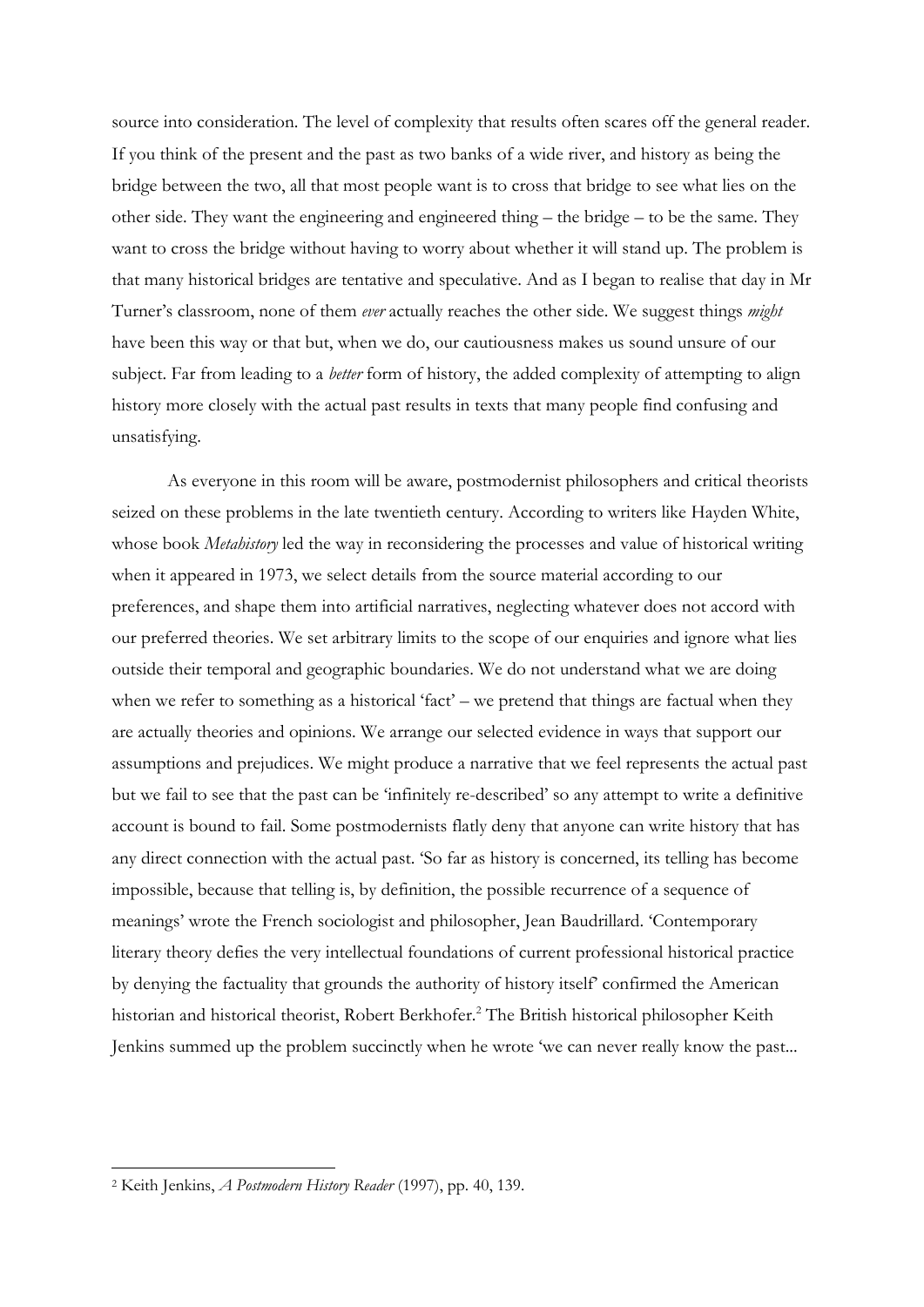source into consideration. The level of complexity that results often scares off the general reader. If you think of the present and the past as two banks of a wide river, and history as being the bridge between the two, all that most people want is to cross that bridge to see what lies on the other side. They want the engineering and engineered thing – the bridge – to be the same. They want to cross the bridge without having to worry about whether it will stand up. The problem is that many historical bridges are tentative and speculative. And as I began to realise that day in Mr Turner's classroom, none of them *ever* actually reaches the other side. We suggest things *might* have been this way or that but, when we do, our cautiousness makes us sound unsure of our subject. Far from leading to a *better* form of history, the added complexity of attempting to align history more closely with the actual past results in texts that many people find confusing and unsatisfying.

As everyone in this room will be aware, postmodernist philosophers and critical theorists seized on these problems in the late twentieth century. According to writers like Hayden White, whose book *Metahistory* led the way in reconsidering the processes and value of historical writing when it appeared in 1973, we select details from the source material according to our preferences, and shape them into artificial narratives, neglecting whatever does not accord with our preferred theories. We set arbitrary limits to the scope of our enquiries and ignore what lies outside their temporal and geographic boundaries. We do not understand what we are doing when we refer to something as a historical 'fact' – we pretend that things are factual when they are actually theories and opinions. We arrange our selected evidence in ways that support our assumptions and prejudices. We might produce a narrative that we feel represents the actual past but we fail to see that the past can be 'infinitely re-described' so any attempt to write a definitive account is bound to fail. Some postmodernists flatly deny that anyone can write history that has any direct connection with the actual past. 'So far as history is concerned, its telling has become impossible, because that telling is, by definition, the possible recurrence of a sequence of meanings' wrote the French sociologist and philosopher, Jean Baudrillard. 'Contemporary literary theory defies the very intellectual foundations of current professional historical practice by denying the factuality that grounds the authority of history itself' confirmed the American historian and historical theorist, Robert Berkhofer.<sup>2</sup> The British historical philosopher Keith Jenkins summed up the problem succinctly when he wrote 'we can never really know the past...

<sup>2</sup> Keith Jenkins, *A Postmodern History Reader* (1997), pp. 40, 139.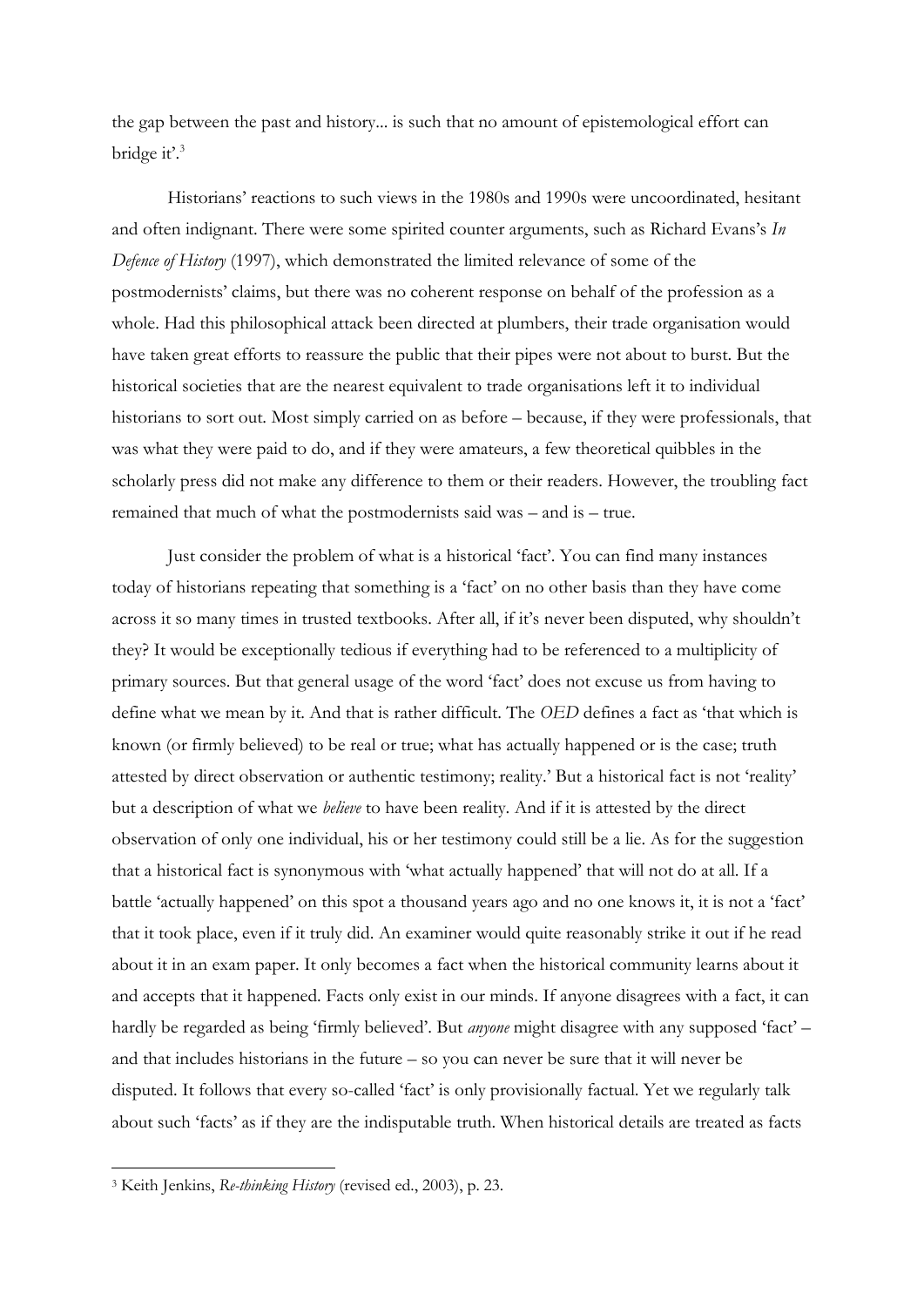the gap between the past and history... is such that no amount of epistemological effort can bridge it'.<sup>3</sup>

Historians' reactions to such views in the 1980s and 1990s were uncoordinated, hesitant and often indignant. There were some spirited counter arguments, such as Richard Evans's *In Defence of History* (1997), which demonstrated the limited relevance of some of the postmodernists' claims, but there was no coherent response on behalf of the profession as a whole. Had this philosophical attack been directed at plumbers, their trade organisation would have taken great efforts to reassure the public that their pipes were not about to burst. But the historical societies that are the nearest equivalent to trade organisations left it to individual historians to sort out. Most simply carried on as before – because, if they were professionals, that was what they were paid to do, and if they were amateurs, a few theoretical quibbles in the scholarly press did not make any difference to them or their readers. However, the troubling fact remained that much of what the postmodernists said was – and is – true.

Just consider the problem of what is a historical 'fact'. You can find many instances today of historians repeating that something is a 'fact' on no other basis than they have come across it so many times in trusted textbooks. After all, if it's never been disputed, why shouldn't they? It would be exceptionally tedious if everything had to be referenced to a multiplicity of primary sources. But that general usage of the word 'fact' does not excuse us from having to define what we mean by it. And that is rather difficult. The *OED* defines a fact as 'that which is known (or firmly believed) to be real or true; what has actually happened or is the case; truth attested by direct observation or authentic testimony; reality.' But a historical fact is not 'reality' but a description of what we *believe* to have been reality. And if it is attested by the direct observation of only one individual, his or her testimony could still be a lie. As for the suggestion that a historical fact is synonymous with 'what actually happened' that will not do at all. If a battle 'actually happened' on this spot a thousand years ago and no one knows it, it is not a 'fact' that it took place, even if it truly did. An examiner would quite reasonably strike it out if he read about it in an exam paper. It only becomes a fact when the historical community learns about it and accepts that it happened. Facts only exist in our minds. If anyone disagrees with a fact, it can hardly be regarded as being 'firmly believed'. But *anyone* might disagree with any supposed 'fact' – and that includes historians in the future – so you can never be sure that it will never be disputed. It follows that every so-called 'fact' is only provisionally factual. Yet we regularly talk about such 'facts' as if they are the indisputable truth. When historical details are treated as facts

<sup>3</sup> Keith Jenkins, *Re-thinking History* (revised ed., 2003), p. 23.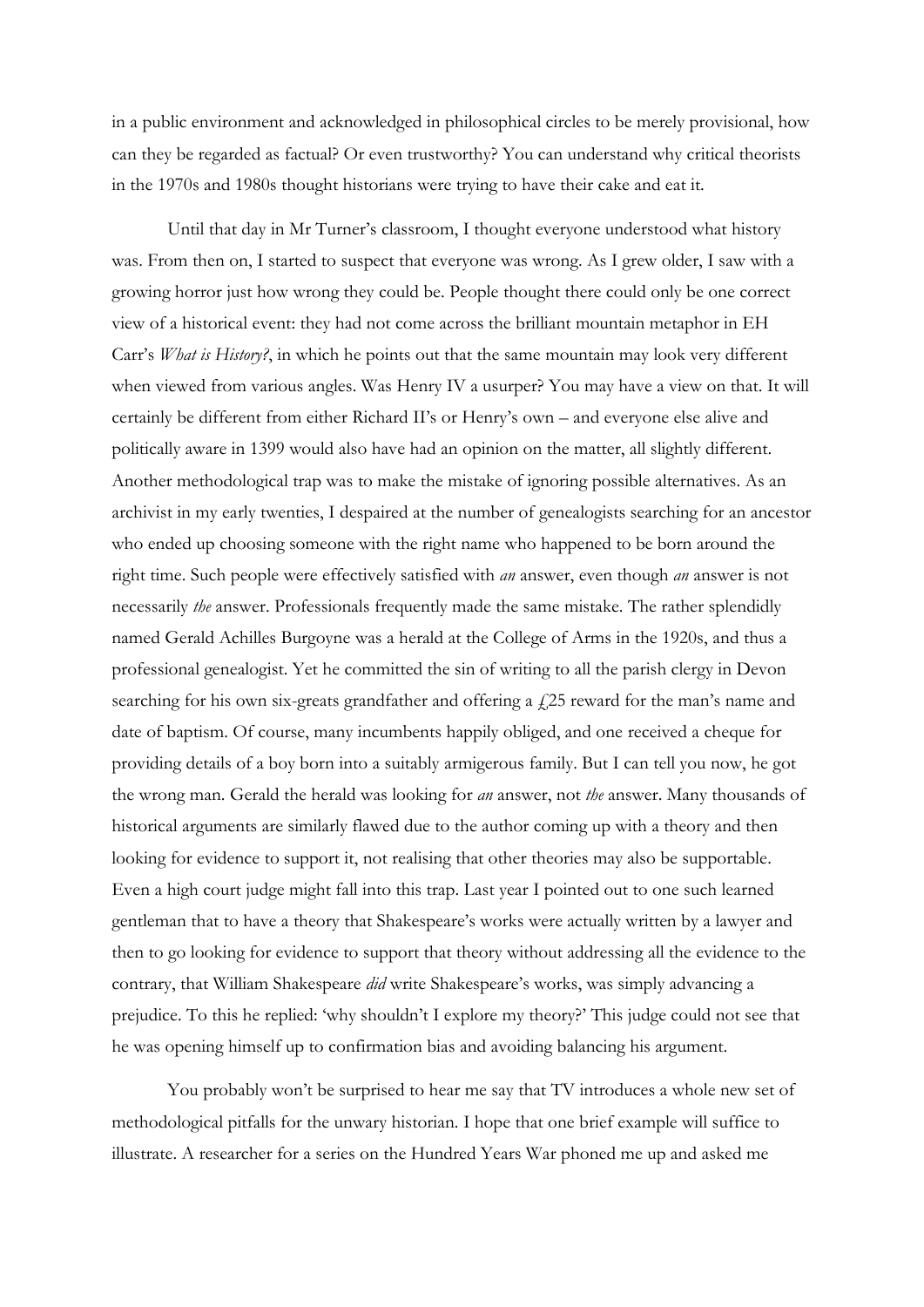in a public environment and acknowledged in philosophical circles to be merely provisional, how can they be regarded as factual? Or even trustworthy? You can understand why critical theorists in the 1970s and 1980s thought historians were trying to have their cake and eat it.

Until that day in Mr Turner's classroom, I thought everyone understood what history was. From then on, I started to suspect that everyone was wrong. As I grew older, I saw with a growing horror just how wrong they could be. People thought there could only be one correct view of a historical event: they had not come across the brilliant mountain metaphor in EH Carr's *What is History?*, in which he points out that the same mountain may look very different when viewed from various angles. Was Henry IV a usurper? You may have a view on that. It will certainly be different from either Richard II's or Henry's own – and everyone else alive and politically aware in 1399 would also have had an opinion on the matter, all slightly different. Another methodological trap was to make the mistake of ignoring possible alternatives. As an archivist in my early twenties, I despaired at the number of genealogists searching for an ancestor who ended up choosing someone with the right name who happened to be born around the right time. Such people were effectively satisfied with *an* answer, even though *an* answer is not necessarily *the* answer. Professionals frequently made the same mistake. The rather splendidly named Gerald Achilles Burgoyne was a herald at the College of Arms in the 1920s, and thus a professional genealogist. Yet he committed the sin of writing to all the parish clergy in Devon searching for his own six-greats grandfather and offering a  $f(25)$  reward for the man's name and date of baptism. Of course, many incumbents happily obliged, and one received a cheque for providing details of a boy born into a suitably armigerous family. But I can tell you now, he got the wrong man. Gerald the herald was looking for *an* answer, not *the* answer. Many thousands of historical arguments are similarly flawed due to the author coming up with a theory and then looking for evidence to support it, not realising that other theories may also be supportable. Even a high court judge might fall into this trap. Last year I pointed out to one such learned gentleman that to have a theory that Shakespeare's works were actually written by a lawyer and then to go looking for evidence to support that theory without addressing all the evidence to the contrary, that William Shakespeare *did* write Shakespeare's works, was simply advancing a prejudice. To this he replied: 'why shouldn't I explore my theory?' This judge could not see that he was opening himself up to confirmation bias and avoiding balancing his argument.

You probably won't be surprised to hear me say that TV introduces a whole new set of methodological pitfalls for the unwary historian. I hope that one brief example will suffice to illustrate. A researcher for a series on the Hundred Years War phoned me up and asked me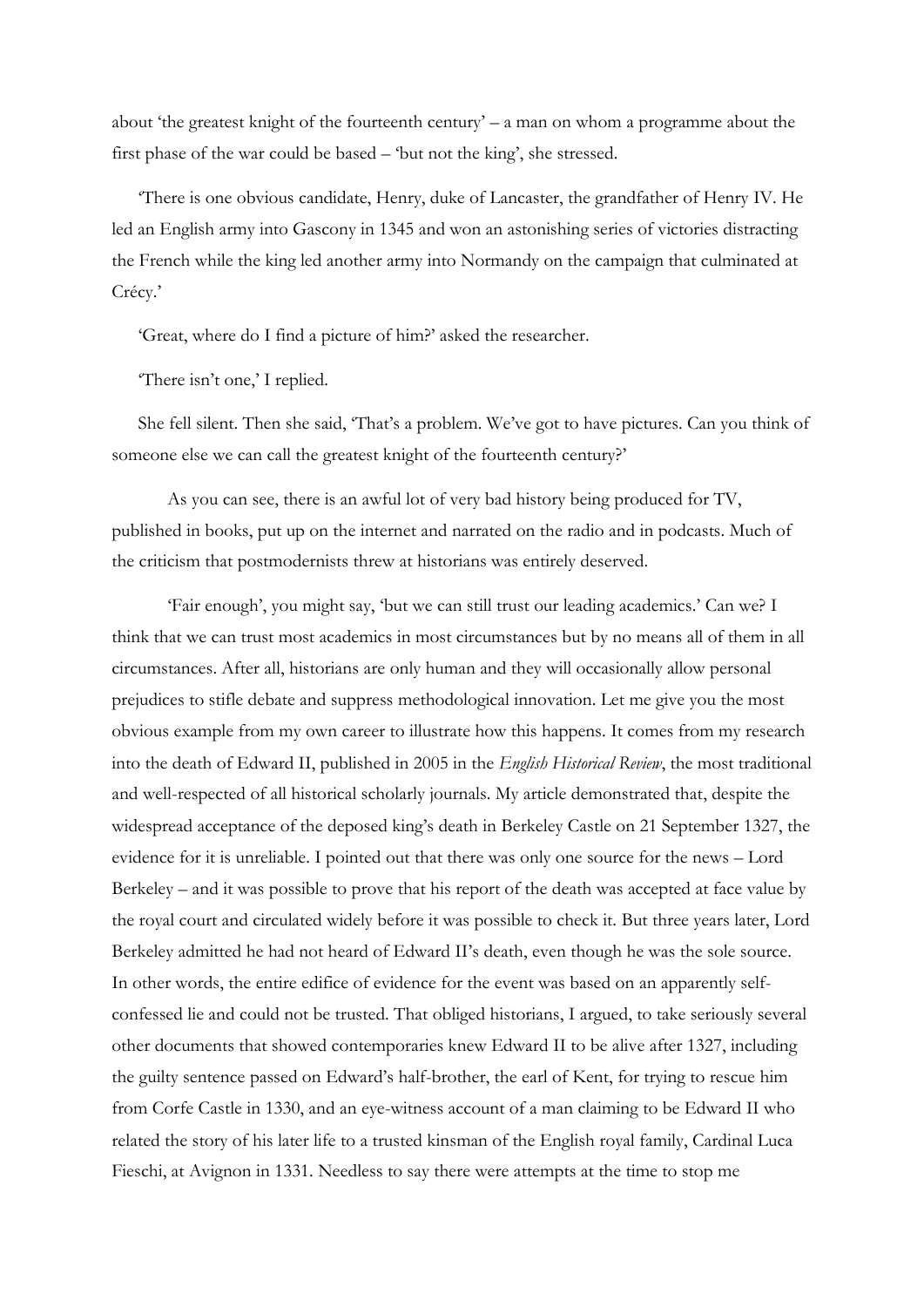about 'the greatest knight of the fourteenth century' – a man on whom a programme about the first phase of the war could be based – 'but not the king', she stressed.

'There is one obvious candidate, Henry, duke of Lancaster, the grandfather of Henry IV. He led an English army into Gascony in 1345 and won an astonishing series of victories distracting the French while the king led another army into Normandy on the campaign that culminated at Crécy.'

'Great, where do I find a picture of him?' asked the researcher.

'There isn't one,' I replied.

She fell silent. Then she said, 'That's a problem. We've got to have pictures. Can you think of someone else we can call the greatest knight of the fourteenth century?'

As you can see, there is an awful lot of very bad history being produced for TV, published in books, put up on the internet and narrated on the radio and in podcasts. Much of the criticism that postmodernists threw at historians was entirely deserved.

'Fair enough', you might say, 'but we can still trust our leading academics.' Can we? I think that we can trust most academics in most circumstances but by no means all of them in all circumstances. After all, historians are only human and they will occasionally allow personal prejudices to stifle debate and suppress methodological innovation. Let me give you the most obvious example from my own career to illustrate how this happens. It comes from my research into the death of Edward II, published in 2005 in the *English Historical Review*, the most traditional and well-respected of all historical scholarly journals. My article demonstrated that, despite the widespread acceptance of the deposed king's death in Berkeley Castle on 21 September 1327, the evidence for it is unreliable. I pointed out that there was only one source for the news – Lord Berkeley – and it was possible to prove that his report of the death was accepted at face value by the royal court and circulated widely before it was possible to check it. But three years later, Lord Berkeley admitted he had not heard of Edward II's death, even though he was the sole source. In other words, the entire edifice of evidence for the event was based on an apparently selfconfessed lie and could not be trusted. That obliged historians, I argued, to take seriously several other documents that showed contemporaries knew Edward II to be alive after 1327, including the guilty sentence passed on Edward's half-brother, the earl of Kent, for trying to rescue him from Corfe Castle in 1330, and an eye-witness account of a man claiming to be Edward II who related the story of his later life to a trusted kinsman of the English royal family, Cardinal Luca Fieschi, at Avignon in 1331. Needless to say there were attempts at the time to stop me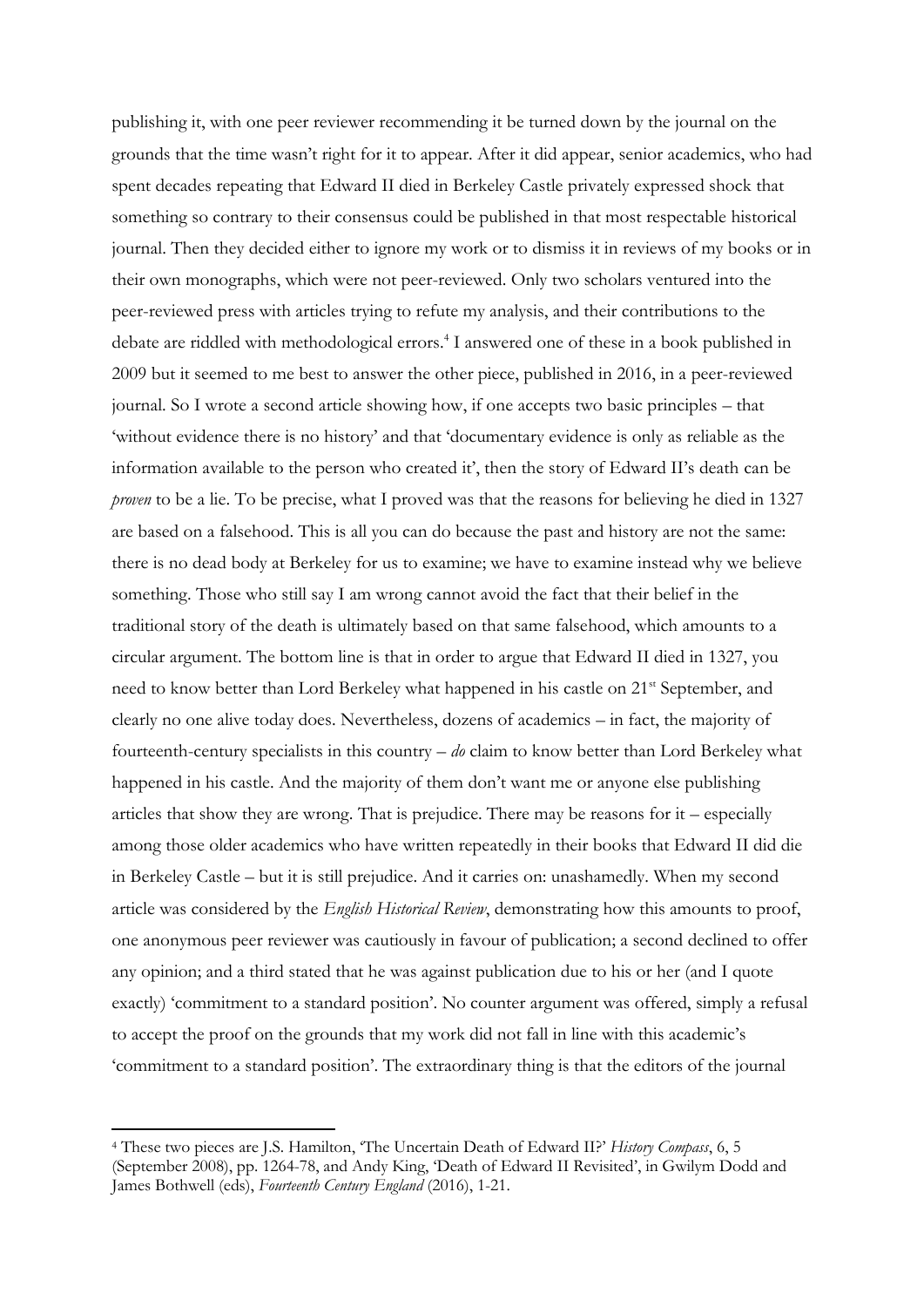publishing it, with one peer reviewer recommending it be turned down by the journal on the grounds that the time wasn't right for it to appear. After it did appear, senior academics, who had spent decades repeating that Edward II died in Berkeley Castle privately expressed shock that something so contrary to their consensus could be published in that most respectable historical journal. Then they decided either to ignore my work or to dismiss it in reviews of my books or in their own monographs, which were not peer-reviewed. Only two scholars ventured into the peer-reviewed press with articles trying to refute my analysis, and their contributions to the debate are riddled with methodological errors.<sup>4</sup> I answered one of these in a book published in 2009 but it seemed to me best to answer the other piece, published in 2016, in a peer-reviewed journal. So I wrote a second article showing how, if one accepts two basic principles – that 'without evidence there is no history' and that 'documentary evidence is only as reliable as the information available to the person who created it', then the story of Edward II's death can be *proven* to be a lie. To be precise, what I proved was that the reasons for believing he died in 1327 are based on a falsehood. This is all you can do because the past and history are not the same: there is no dead body at Berkeley for us to examine; we have to examine instead why we believe something. Those who still say I am wrong cannot avoid the fact that their belief in the traditional story of the death is ultimately based on that same falsehood, which amounts to a circular argument. The bottom line is that in order to argue that Edward II died in 1327, you need to know better than Lord Berkeley what happened in his castle on 21<sup>st</sup> September, and clearly no one alive today does. Nevertheless, dozens of academics – in fact, the majority of fourteenth-century specialists in this country – *do* claim to know better than Lord Berkeley what happened in his castle. And the majority of them don't want me or anyone else publishing articles that show they are wrong. That is prejudice. There may be reasons for it – especially among those older academics who have written repeatedly in their books that Edward II did die in Berkeley Castle – but it is still prejudice. And it carries on: unashamedly. When my second article was considered by the *English Historical Review*, demonstrating how this amounts to proof, one anonymous peer reviewer was cautiously in favour of publication; a second declined to offer any opinion; and a third stated that he was against publication due to his or her (and I quote exactly) 'commitment to a standard position'. No counter argument was offered, simply a refusal to accept the proof on the grounds that my work did not fall in line with this academic's 'commitment to a standard position'. The extraordinary thing is that the editors of the journal

<sup>4</sup> These two pieces are J.S. Hamilton, 'The Uncertain Death of Edward II?' *History Compass*, 6, 5 (September 2008), pp. 1264-78, and Andy King, 'Death of Edward II Revisited', in Gwilym Dodd and James Bothwell (eds), *Fourteenth Century England* (2016), 1-21.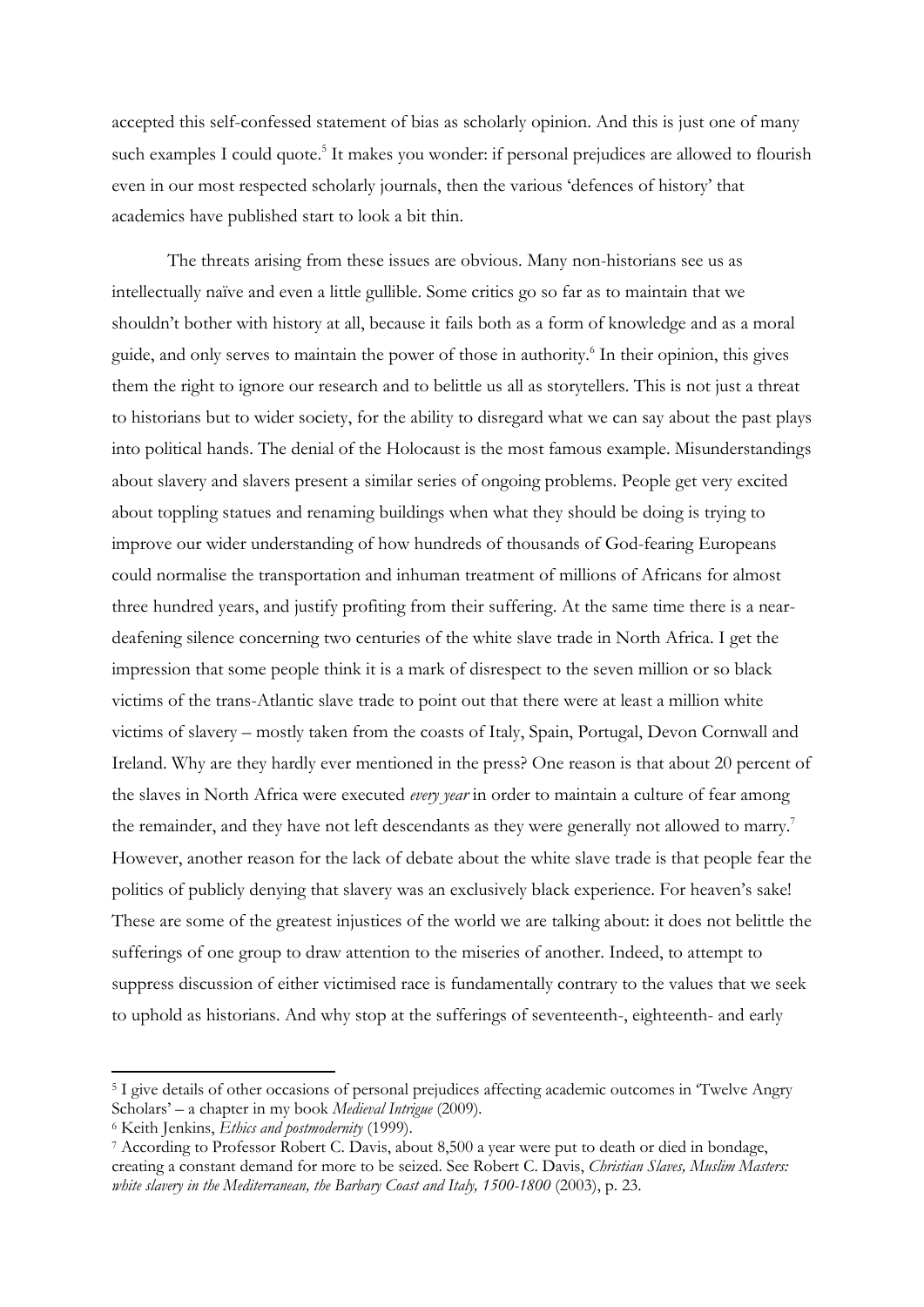accepted this self-confessed statement of bias as scholarly opinion. And this is just one of many such examples I could quote.<sup>5</sup> It makes you wonder: if personal prejudices are allowed to flourish even in our most respected scholarly journals, then the various 'defences of history' that academics have published start to look a bit thin.

The threats arising from these issues are obvious. Many non-historians see us as intellectually naïve and even a little gullible. Some critics go so far as to maintain that we shouldn't bother with history at all, because it fails both as a form of knowledge and as a moral guide, and only serves to maintain the power of those in authority.<sup>6</sup> In their opinion, this gives them the right to ignore our research and to belittle us all as storytellers. This is not just a threat to historians but to wider society, for the ability to disregard what we can say about the past plays into political hands. The denial of the Holocaust is the most famous example. Misunderstandings about slavery and slavers present a similar series of ongoing problems. People get very excited about toppling statues and renaming buildings when what they should be doing is trying to improve our wider understanding of how hundreds of thousands of God-fearing Europeans could normalise the transportation and inhuman treatment of millions of Africans for almost three hundred years, and justify profiting from their suffering. At the same time there is a neardeafening silence concerning two centuries of the white slave trade in North Africa. I get the impression that some people think it is a mark of disrespect to the seven million or so black victims of the trans-Atlantic slave trade to point out that there were at least a million white victims of slavery – mostly taken from the coasts of Italy, Spain, Portugal, Devon Cornwall and Ireland. Why are they hardly ever mentioned in the press? One reason is that about 20 percent of the slaves in North Africa were executed *every year* in order to maintain a culture of fear among the remainder, and they have not left descendants as they were generally not allowed to marry.<sup>7</sup> However, another reason for the lack of debate about the white slave trade is that people fear the politics of publicly denying that slavery was an exclusively black experience. For heaven's sake! These are some of the greatest injustices of the world we are talking about: it does not belittle the sufferings of one group to draw attention to the miseries of another. Indeed, to attempt to suppress discussion of either victimised race is fundamentally contrary to the values that we seek to uphold as historians. And why stop at the sufferings of seventeenth-, eighteenth- and early

<sup>5</sup> I give details of other occasions of personal prejudices affecting academic outcomes in 'Twelve Angry Scholars' – a chapter in my book *Medieval Intrigue* (2009)*.*

<sup>6</sup> Keith Jenkins, *Ethics and postmodernity* (1999).

<sup>7</sup> According to Professor Robert C. Davis, about 8,500 a year were put to death or died in bondage, creating a constant demand for more to be seized. See Robert C. Davis, *Christian Slaves, Muslim Masters: white slavery in the Mediterranean, the Barbary Coast and Italy, 1500-1800* (2003), p. 23.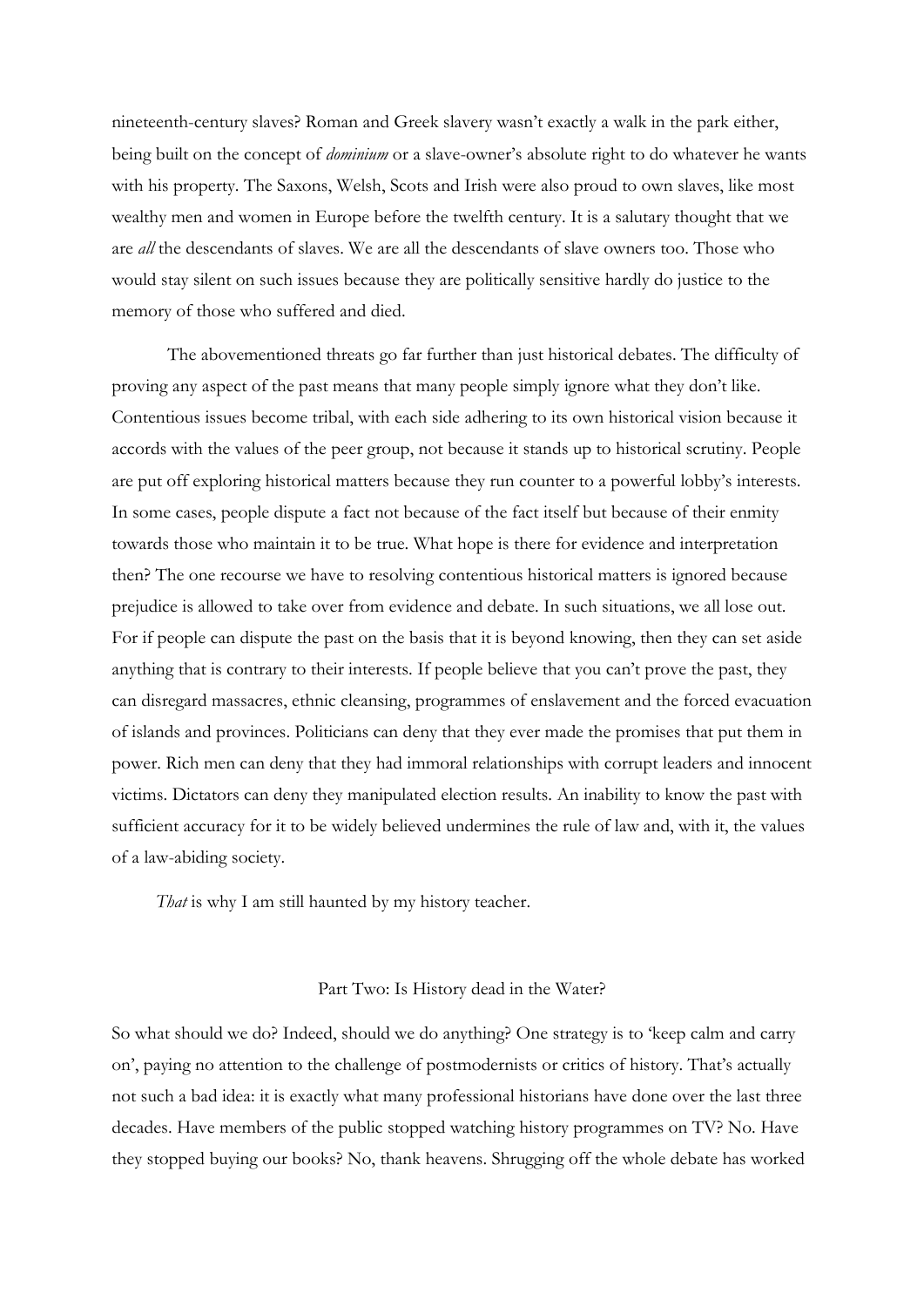nineteenth-century slaves? Roman and Greek slavery wasn't exactly a walk in the park either, being built on the concept of *dominium* or a slave-owner's absolute right to do whatever he wants with his property. The Saxons, Welsh, Scots and Irish were also proud to own slaves, like most wealthy men and women in Europe before the twelfth century. It is a salutary thought that we are *all* the descendants of slaves. We are all the descendants of slave owners too. Those who would stay silent on such issues because they are politically sensitive hardly do justice to the memory of those who suffered and died.

The abovementioned threats go far further than just historical debates. The difficulty of proving any aspect of the past means that many people simply ignore what they don't like. Contentious issues become tribal, with each side adhering to its own historical vision because it accords with the values of the peer group, not because it stands up to historical scrutiny. People are put off exploring historical matters because they run counter to a powerful lobby's interests. In some cases, people dispute a fact not because of the fact itself but because of their enmity towards those who maintain it to be true. What hope is there for evidence and interpretation then? The one recourse we have to resolving contentious historical matters is ignored because prejudice is allowed to take over from evidence and debate. In such situations, we all lose out. For if people can dispute the past on the basis that it is beyond knowing, then they can set aside anything that is contrary to their interests. If people believe that you can't prove the past, they can disregard massacres, ethnic cleansing, programmes of enslavement and the forced evacuation of islands and provinces. Politicians can deny that they ever made the promises that put them in power. Rich men can deny that they had immoral relationships with corrupt leaders and innocent victims. Dictators can deny they manipulated election results. An inability to know the past with sufficient accuracy for it to be widely believed undermines the rule of law and, with it, the values of a law-abiding society.

*That* is why I am still haunted by my history teacher.

### Part Two: Is History dead in the Water?

So what should we do? Indeed, should we do anything? One strategy is to 'keep calm and carry on', paying no attention to the challenge of postmodernists or critics of history. That's actually not such a bad idea: it is exactly what many professional historians have done over the last three decades. Have members of the public stopped watching history programmes on TV? No. Have they stopped buying our books? No, thank heavens. Shrugging off the whole debate has worked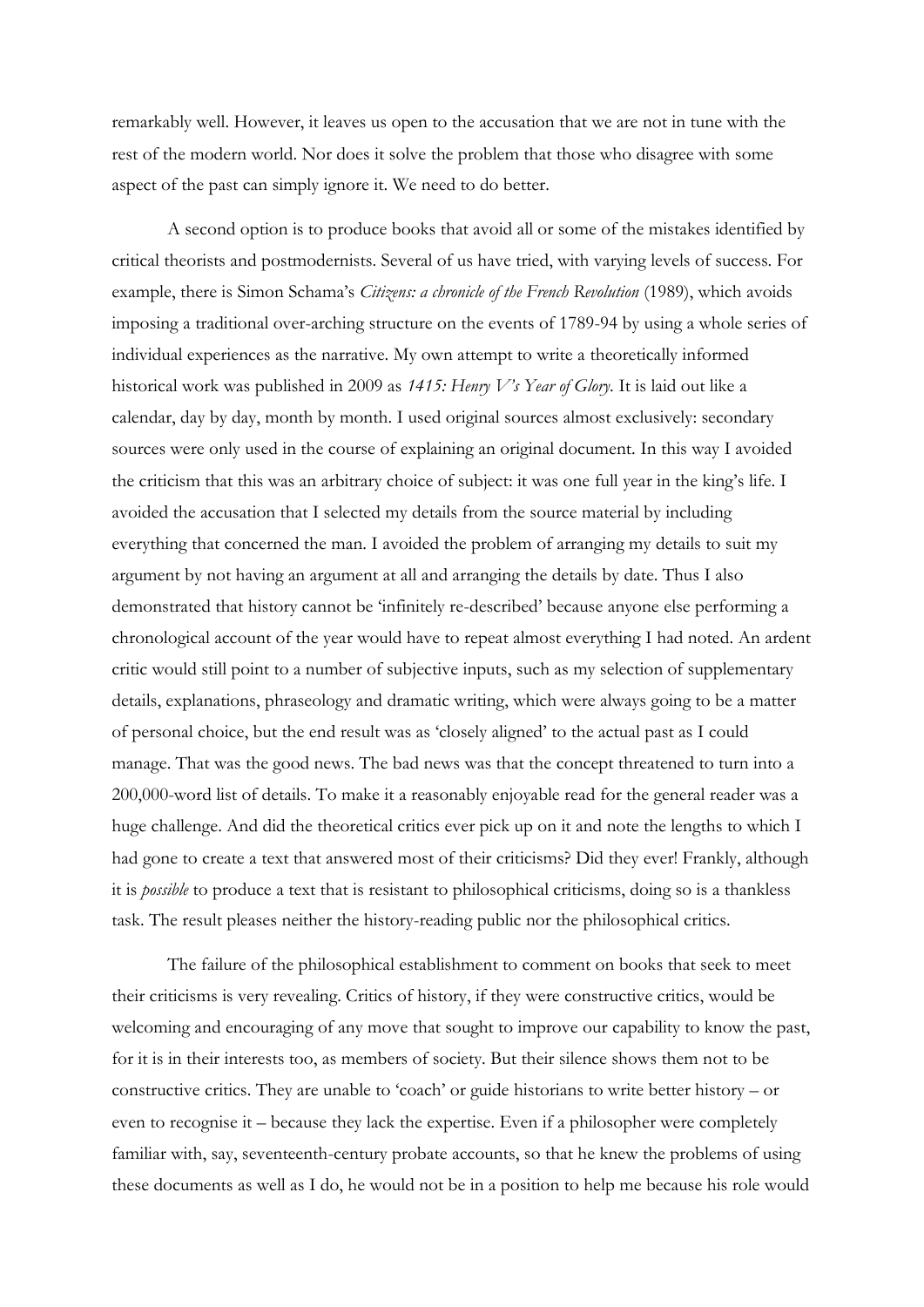remarkably well. However, it leaves us open to the accusation that we are not in tune with the rest of the modern world. Nor does it solve the problem that those who disagree with some aspect of the past can simply ignore it. We need to do better.

A second option is to produce books that avoid all or some of the mistakes identified by critical theorists and postmodernists. Several of us have tried, with varying levels of success. For example, there is Simon Schama's *Citizens: a chronicle of the French Revolution* (1989), which avoids imposing a traditional over-arching structure on the events of 1789-94 by using a whole series of individual experiences as the narrative. My own attempt to write a theoretically informed historical work was published in 2009 as *1415: Henry V's Year of Glory*. It is laid out like a calendar, day by day, month by month. I used original sources almost exclusively: secondary sources were only used in the course of explaining an original document. In this way I avoided the criticism that this was an arbitrary choice of subject: it was one full year in the king's life. I avoided the accusation that I selected my details from the source material by including everything that concerned the man. I avoided the problem of arranging my details to suit my argument by not having an argument at all and arranging the details by date. Thus I also demonstrated that history cannot be 'infinitely re-described' because anyone else performing a chronological account of the year would have to repeat almost everything I had noted. An ardent critic would still point to a number of subjective inputs, such as my selection of supplementary details, explanations, phraseology and dramatic writing, which were always going to be a matter of personal choice, but the end result was as 'closely aligned' to the actual past as I could manage. That was the good news. The bad news was that the concept threatened to turn into a 200,000-word list of details. To make it a reasonably enjoyable read for the general reader was a huge challenge. And did the theoretical critics ever pick up on it and note the lengths to which I had gone to create a text that answered most of their criticisms? Did they ever! Frankly, although it is *possible* to produce a text that is resistant to philosophical criticisms, doing so is a thankless task. The result pleases neither the history-reading public nor the philosophical critics.

The failure of the philosophical establishment to comment on books that seek to meet their criticisms is very revealing. Critics of history, if they were constructive critics, would be welcoming and encouraging of any move that sought to improve our capability to know the past, for it is in their interests too, as members of society. But their silence shows them not to be constructive critics. They are unable to 'coach' or guide historians to write better history – or even to recognise it – because they lack the expertise. Even if a philosopher were completely familiar with, say, seventeenth-century probate accounts, so that he knew the problems of using these documents as well as I do, he would not be in a position to help me because his role would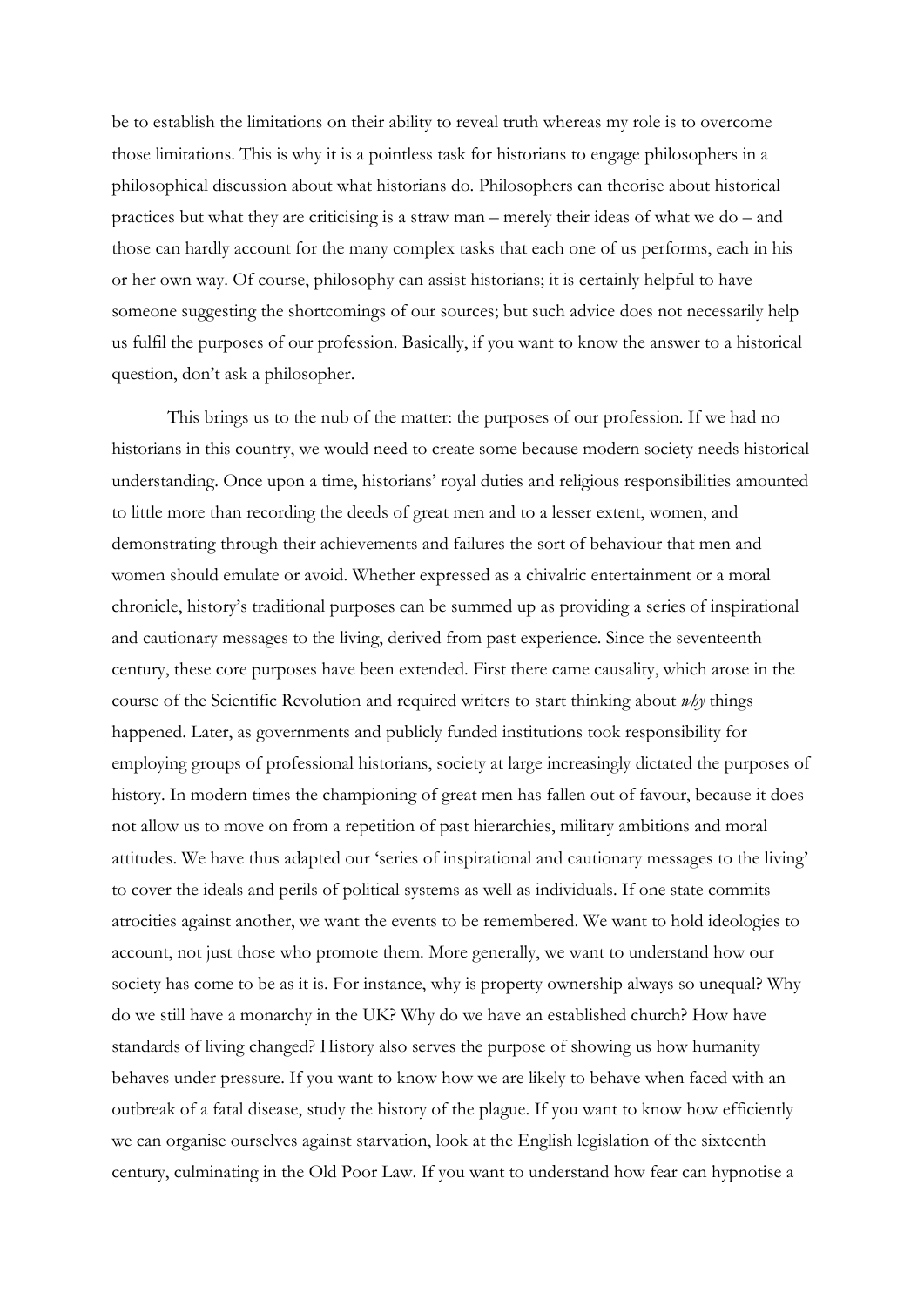be to establish the limitations on their ability to reveal truth whereas my role is to overcome those limitations. This is why it is a pointless task for historians to engage philosophers in a philosophical discussion about what historians do. Philosophers can theorise about historical practices but what they are criticising is a straw man – merely their ideas of what we do – and those can hardly account for the many complex tasks that each one of us performs, each in his or her own way. Of course, philosophy can assist historians; it is certainly helpful to have someone suggesting the shortcomings of our sources; but such advice does not necessarily help us fulfil the purposes of our profession. Basically, if you want to know the answer to a historical question, don't ask a philosopher.

This brings us to the nub of the matter: the purposes of our profession. If we had no historians in this country, we would need to create some because modern society needs historical understanding. Once upon a time, historians' royal duties and religious responsibilities amounted to little more than recording the deeds of great men and to a lesser extent, women, and demonstrating through their achievements and failures the sort of behaviour that men and women should emulate or avoid. Whether expressed as a chivalric entertainment or a moral chronicle, history's traditional purposes can be summed up as providing a series of inspirational and cautionary messages to the living, derived from past experience. Since the seventeenth century, these core purposes have been extended. First there came causality, which arose in the course of the Scientific Revolution and required writers to start thinking about *why* things happened. Later, as governments and publicly funded institutions took responsibility for employing groups of professional historians, society at large increasingly dictated the purposes of history. In modern times the championing of great men has fallen out of favour, because it does not allow us to move on from a repetition of past hierarchies, military ambitions and moral attitudes. We have thus adapted our 'series of inspirational and cautionary messages to the living' to cover the ideals and perils of political systems as well as individuals. If one state commits atrocities against another, we want the events to be remembered. We want to hold ideologies to account, not just those who promote them. More generally, we want to understand how our society has come to be as it is. For instance, why is property ownership always so unequal? Why do we still have a monarchy in the UK? Why do we have an established church? How have standards of living changed? History also serves the purpose of showing us how humanity behaves under pressure. If you want to know how we are likely to behave when faced with an outbreak of a fatal disease, study the history of the plague. If you want to know how efficiently we can organise ourselves against starvation, look at the English legislation of the sixteenth century, culminating in the Old Poor Law. If you want to understand how fear can hypnotise a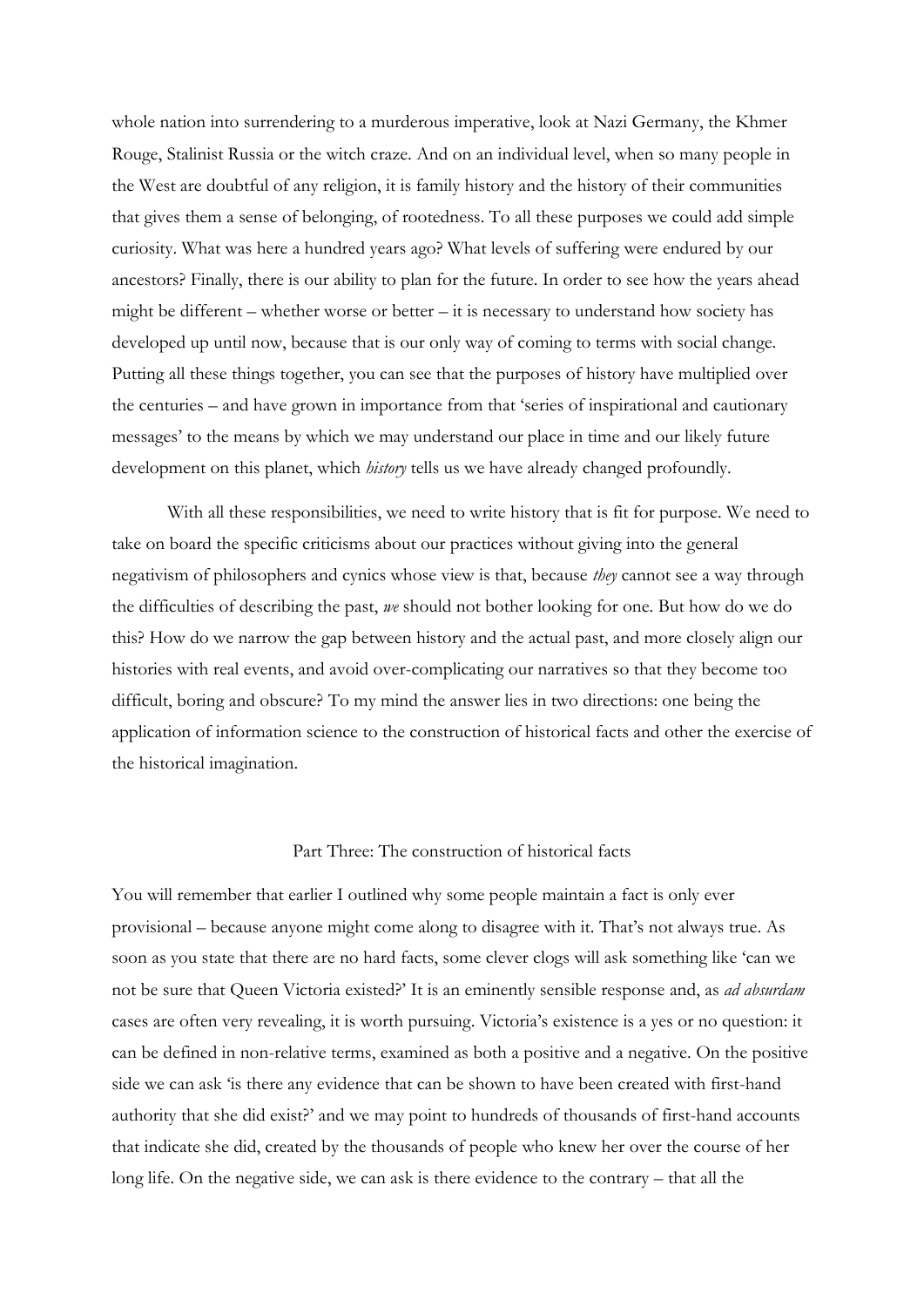whole nation into surrendering to a murderous imperative, look at Nazi Germany, the Khmer Rouge, Stalinist Russia or the witch craze. And on an individual level, when so many people in the West are doubtful of any religion, it is family history and the history of their communities that gives them a sense of belonging, of rootedness. To all these purposes we could add simple curiosity. What was here a hundred years ago? What levels of suffering were endured by our ancestors? Finally, there is our ability to plan for the future. In order to see how the years ahead might be different – whether worse or better – it is necessary to understand how society has developed up until now, because that is our only way of coming to terms with social change. Putting all these things together, you can see that the purposes of history have multiplied over the centuries – and have grown in importance from that 'series of inspirational and cautionary messages' to the means by which we may understand our place in time and our likely future development on this planet, which *history* tells us we have already changed profoundly.

With all these responsibilities, we need to write history that is fit for purpose. We need to take on board the specific criticisms about our practices without giving into the general negativism of philosophers and cynics whose view is that, because *they* cannot see a way through the difficulties of describing the past, *we* should not bother looking for one. But how do we do this? How do we narrow the gap between history and the actual past, and more closely align our histories with real events, and avoid over-complicating our narratives so that they become too difficult, boring and obscure? To my mind the answer lies in two directions: one being the application of information science to the construction of historical facts and other the exercise of the historical imagination.

## Part Three: The construction of historical facts

You will remember that earlier I outlined why some people maintain a fact is only ever provisional – because anyone might come along to disagree with it. That's not always true. As soon as you state that there are no hard facts, some clever clogs will ask something like 'can we not be sure that Queen Victoria existed?' It is an eminently sensible response and, as *ad absurdam*  cases are often very revealing, it is worth pursuing. Victoria's existence is a yes or no question: it can be defined in non-relative terms, examined as both a positive and a negative. On the positive side we can ask 'is there any evidence that can be shown to have been created with first-hand authority that she did exist?' and we may point to hundreds of thousands of first-hand accounts that indicate she did, created by the thousands of people who knew her over the course of her long life. On the negative side, we can ask is there evidence to the contrary – that all the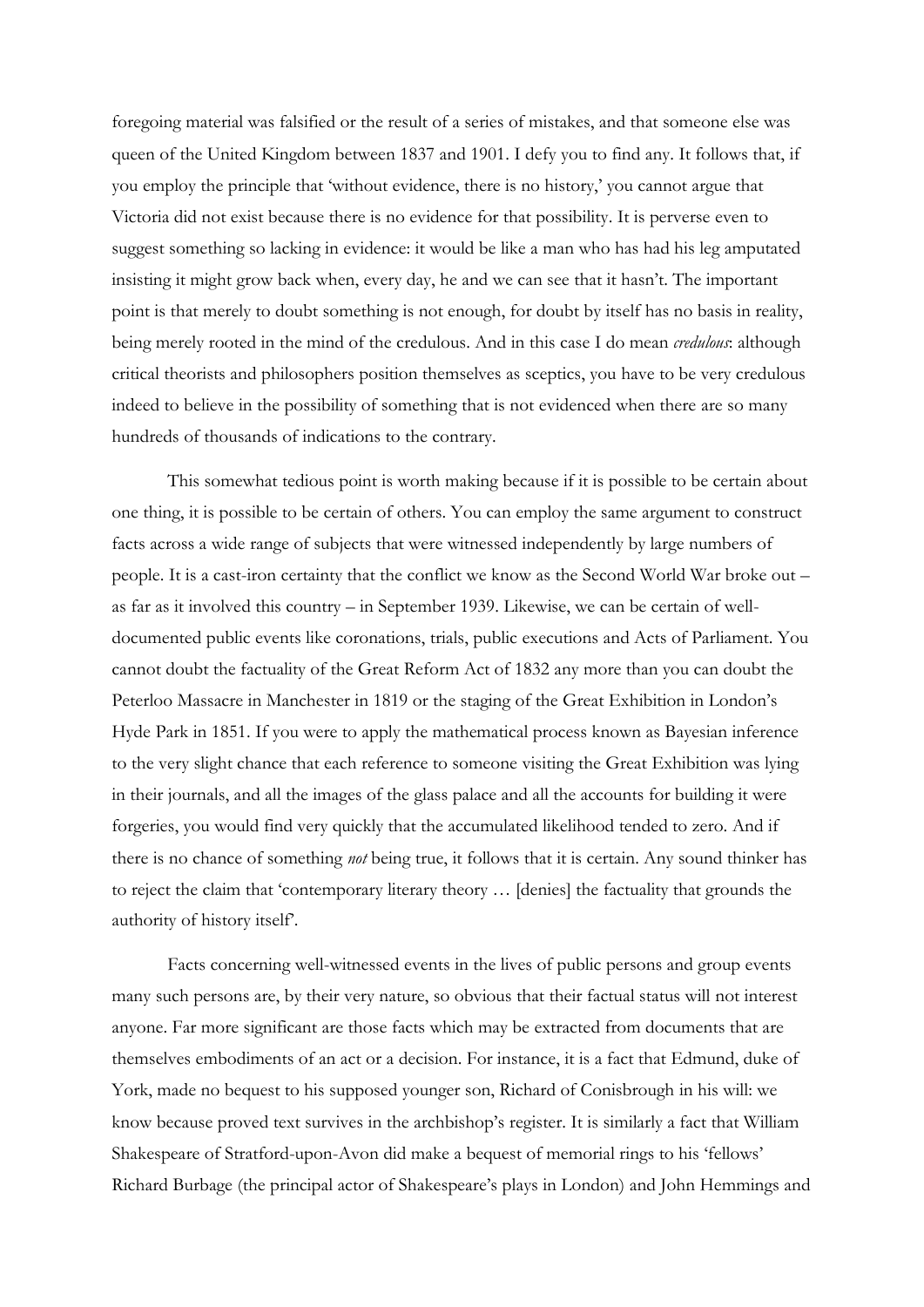foregoing material was falsified or the result of a series of mistakes, and that someone else was queen of the United Kingdom between 1837 and 1901. I defy you to find any. It follows that, if you employ the principle that 'without evidence, there is no history,' you cannot argue that Victoria did not exist because there is no evidence for that possibility. It is perverse even to suggest something so lacking in evidence: it would be like a man who has had his leg amputated insisting it might grow back when, every day, he and we can see that it hasn't. The important point is that merely to doubt something is not enough, for doubt by itself has no basis in reality, being merely rooted in the mind of the credulous. And in this case I do mean *credulous*: although critical theorists and philosophers position themselves as sceptics, you have to be very credulous indeed to believe in the possibility of something that is not evidenced when there are so many hundreds of thousands of indications to the contrary.

This somewhat tedious point is worth making because if it is possible to be certain about one thing, it is possible to be certain of others. You can employ the same argument to construct facts across a wide range of subjects that were witnessed independently by large numbers of people. It is a cast-iron certainty that the conflict we know as the Second World War broke out – as far as it involved this country – in September 1939. Likewise, we can be certain of welldocumented public events like coronations, trials, public executions and Acts of Parliament. You cannot doubt the factuality of the Great Reform Act of 1832 any more than you can doubt the Peterloo Massacre in Manchester in 1819 or the staging of the Great Exhibition in London's Hyde Park in 1851. If you were to apply the mathematical process known as Bayesian inference to the very slight chance that each reference to someone visiting the Great Exhibition was lying in their journals, and all the images of the glass palace and all the accounts for building it were forgeries, you would find very quickly that the accumulated likelihood tended to zero. And if there is no chance of something *not* being true, it follows that it is certain. Any sound thinker has to reject the claim that 'contemporary literary theory … [denies] the factuality that grounds the authority of history itself'.

Facts concerning well-witnessed events in the lives of public persons and group events many such persons are, by their very nature, so obvious that their factual status will not interest anyone. Far more significant are those facts which may be extracted from documents that are themselves embodiments of an act or a decision. For instance, it is a fact that Edmund, duke of York, made no bequest to his supposed younger son, Richard of Conisbrough in his will: we know because proved text survives in the archbishop's register. It is similarly a fact that William Shakespeare of Stratford-upon-Avon did make a bequest of memorial rings to his 'fellows' Richard Burbage (the principal actor of Shakespeare's plays in London) and John Hemmings and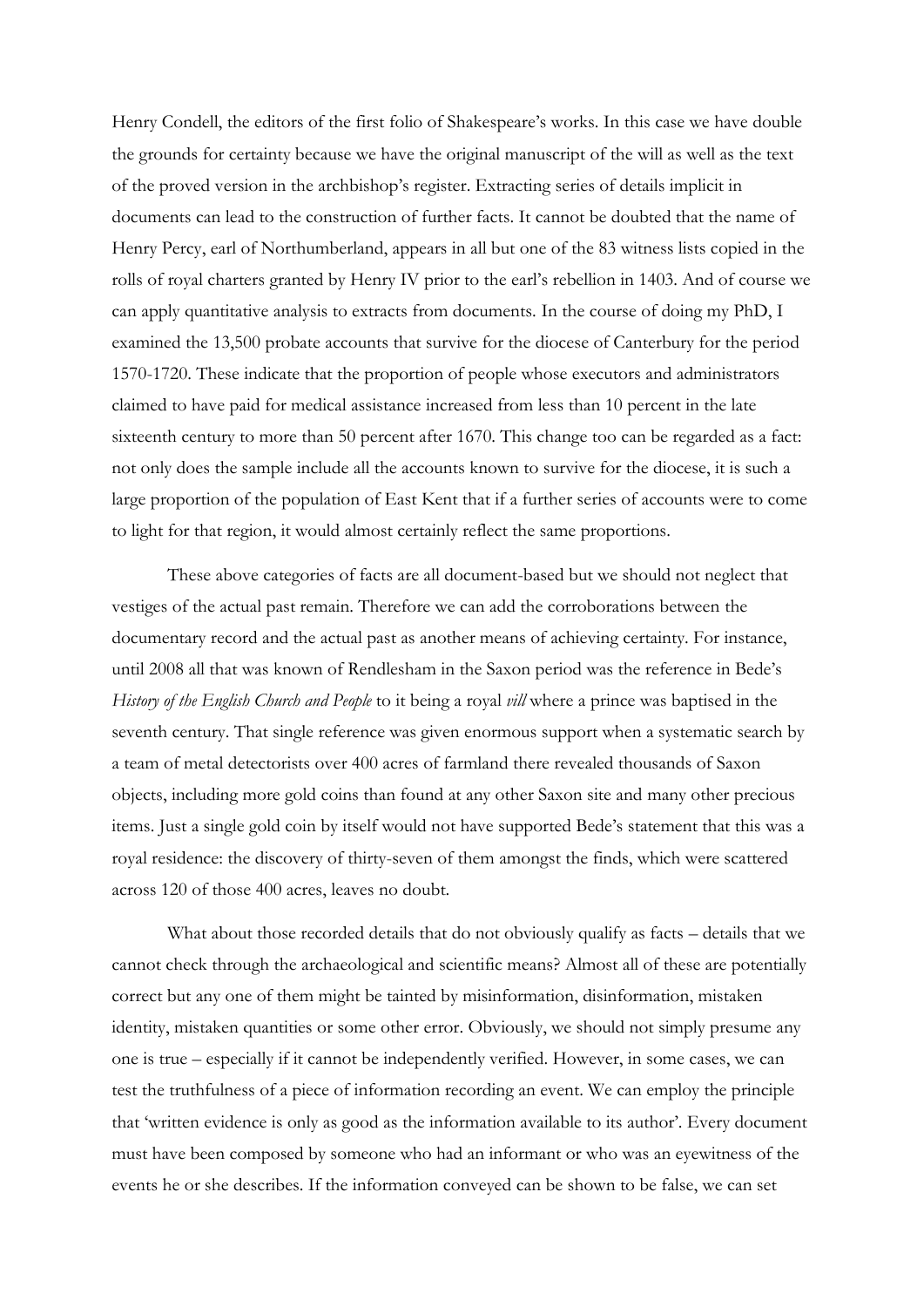Henry Condell, the editors of the first folio of Shakespeare's works. In this case we have double the grounds for certainty because we have the original manuscript of the will as well as the text of the proved version in the archbishop's register. Extracting series of details implicit in documents can lead to the construction of further facts. It cannot be doubted that the name of Henry Percy, earl of Northumberland, appears in all but one of the 83 witness lists copied in the rolls of royal charters granted by Henry IV prior to the earl's rebellion in 1403. And of course we can apply quantitative analysis to extracts from documents. In the course of doing my PhD, I examined the 13,500 probate accounts that survive for the diocese of Canterbury for the period 1570-1720. These indicate that the proportion of people whose executors and administrators claimed to have paid for medical assistance increased from less than 10 percent in the late sixteenth century to more than 50 percent after 1670. This change too can be regarded as a fact: not only does the sample include all the accounts known to survive for the diocese, it is such a large proportion of the population of East Kent that if a further series of accounts were to come to light for that region, it would almost certainly reflect the same proportions.

These above categories of facts are all document-based but we should not neglect that vestiges of the actual past remain. Therefore we can add the corroborations between the documentary record and the actual past as another means of achieving certainty. For instance, until 2008 all that was known of Rendlesham in the Saxon period was the reference in Bede's *History of the English Church and People* to it being a royal *vill* where a prince was baptised in the seventh century. That single reference was given enormous support when a systematic search by a team of metal detectorists over 400 acres of farmland there revealed thousands of Saxon objects, including more gold coins than found at any other Saxon site and many other precious items. Just a single gold coin by itself would not have supported Bede's statement that this was a royal residence: the discovery of thirty-seven of them amongst the finds, which were scattered across 120 of those 400 acres, leaves no doubt.

What about those recorded details that do not obviously qualify as facts – details that we cannot check through the archaeological and scientific means? Almost all of these are potentially correct but any one of them might be tainted by misinformation, disinformation, mistaken identity, mistaken quantities or some other error. Obviously, we should not simply presume any one is true – especially if it cannot be independently verified. However, in some cases, we can test the truthfulness of a piece of information recording an event. We can employ the principle that 'written evidence is only as good as the information available to its author'. Every document must have been composed by someone who had an informant or who was an eyewitness of the events he or she describes. If the information conveyed can be shown to be false, we can set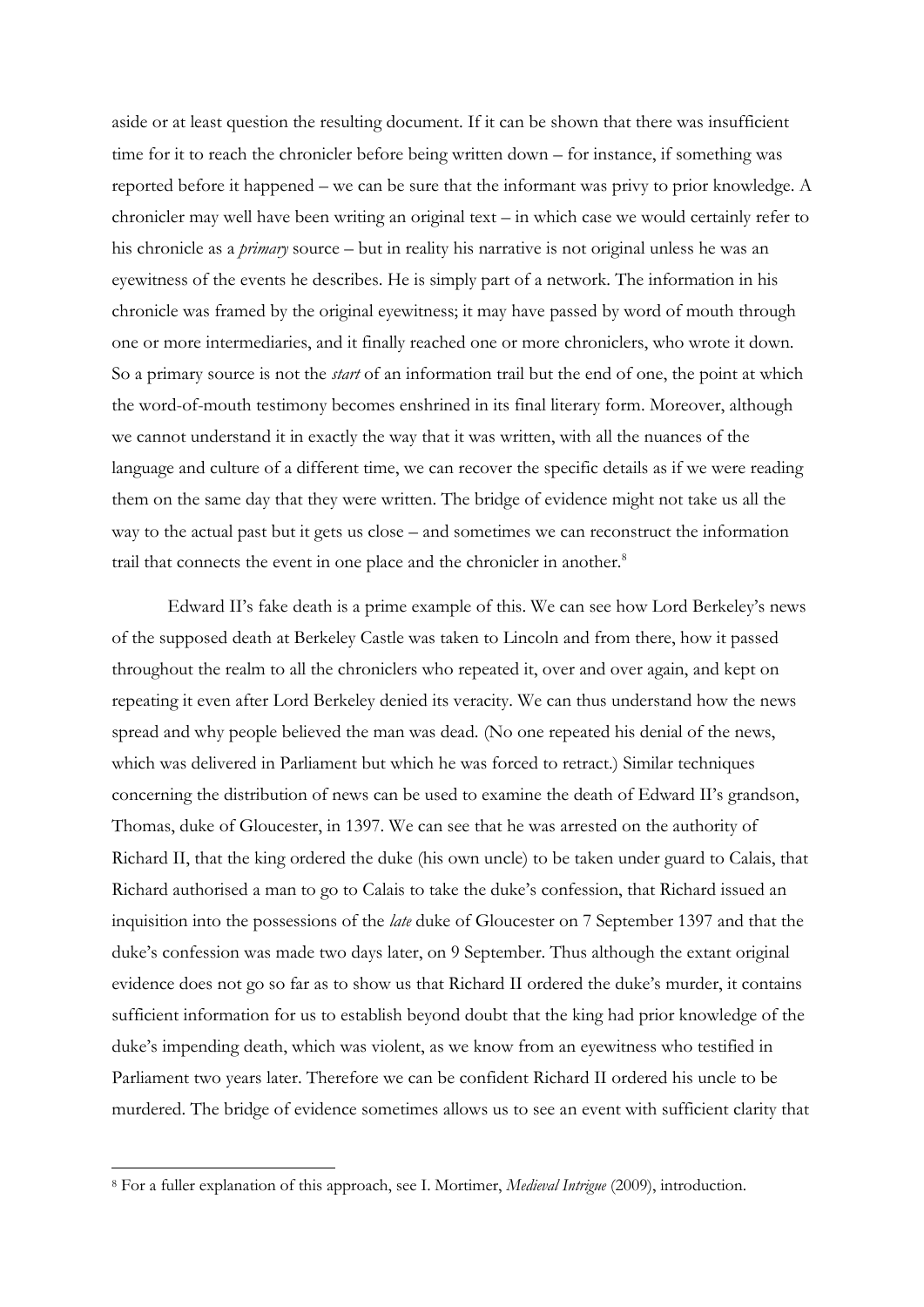aside or at least question the resulting document. If it can be shown that there was insufficient time for it to reach the chronicler before being written down – for instance, if something was reported before it happened – we can be sure that the informant was privy to prior knowledge. A chronicler may well have been writing an original text – in which case we would certainly refer to his chronicle as a *primary* source – but in reality his narrative is not original unless he was an eyewitness of the events he describes. He is simply part of a network. The information in his chronicle was framed by the original eyewitness; it may have passed by word of mouth through one or more intermediaries, and it finally reached one or more chroniclers, who wrote it down. So a primary source is not the *start* of an information trail but the end of one, the point at which the word-of-mouth testimony becomes enshrined in its final literary form. Moreover, although we cannot understand it in exactly the way that it was written, with all the nuances of the language and culture of a different time, we can recover the specific details as if we were reading them on the same day that they were written. The bridge of evidence might not take us all the way to the actual past but it gets us close – and sometimes we can reconstruct the information trail that connects the event in one place and the chronicler in another.<sup>8</sup>

Edward II's fake death is a prime example of this. We can see how Lord Berkeley's news of the supposed death at Berkeley Castle was taken to Lincoln and from there, how it passed throughout the realm to all the chroniclers who repeated it, over and over again, and kept on repeating it even after Lord Berkeley denied its veracity. We can thus understand how the news spread and why people believed the man was dead. (No one repeated his denial of the news, which was delivered in Parliament but which he was forced to retract.) Similar techniques concerning the distribution of news can be used to examine the death of Edward II's grandson, Thomas, duke of Gloucester, in 1397. We can see that he was arrested on the authority of Richard II, that the king ordered the duke (his own uncle) to be taken under guard to Calais, that Richard authorised a man to go to Calais to take the duke's confession, that Richard issued an inquisition into the possessions of the *late* duke of Gloucester on 7 September 1397 and that the duke's confession was made two days later, on 9 September. Thus although the extant original evidence does not go so far as to show us that Richard II ordered the duke's murder, it contains sufficient information for us to establish beyond doubt that the king had prior knowledge of the duke's impending death, which was violent, as we know from an eyewitness who testified in Parliament two years later. Therefore we can be confident Richard II ordered his uncle to be murdered. The bridge of evidence sometimes allows us to see an event with sufficient clarity that

<sup>8</sup> For a fuller explanation of this approach, see I. Mortimer, *Medieval Intrigue* (2009), introduction.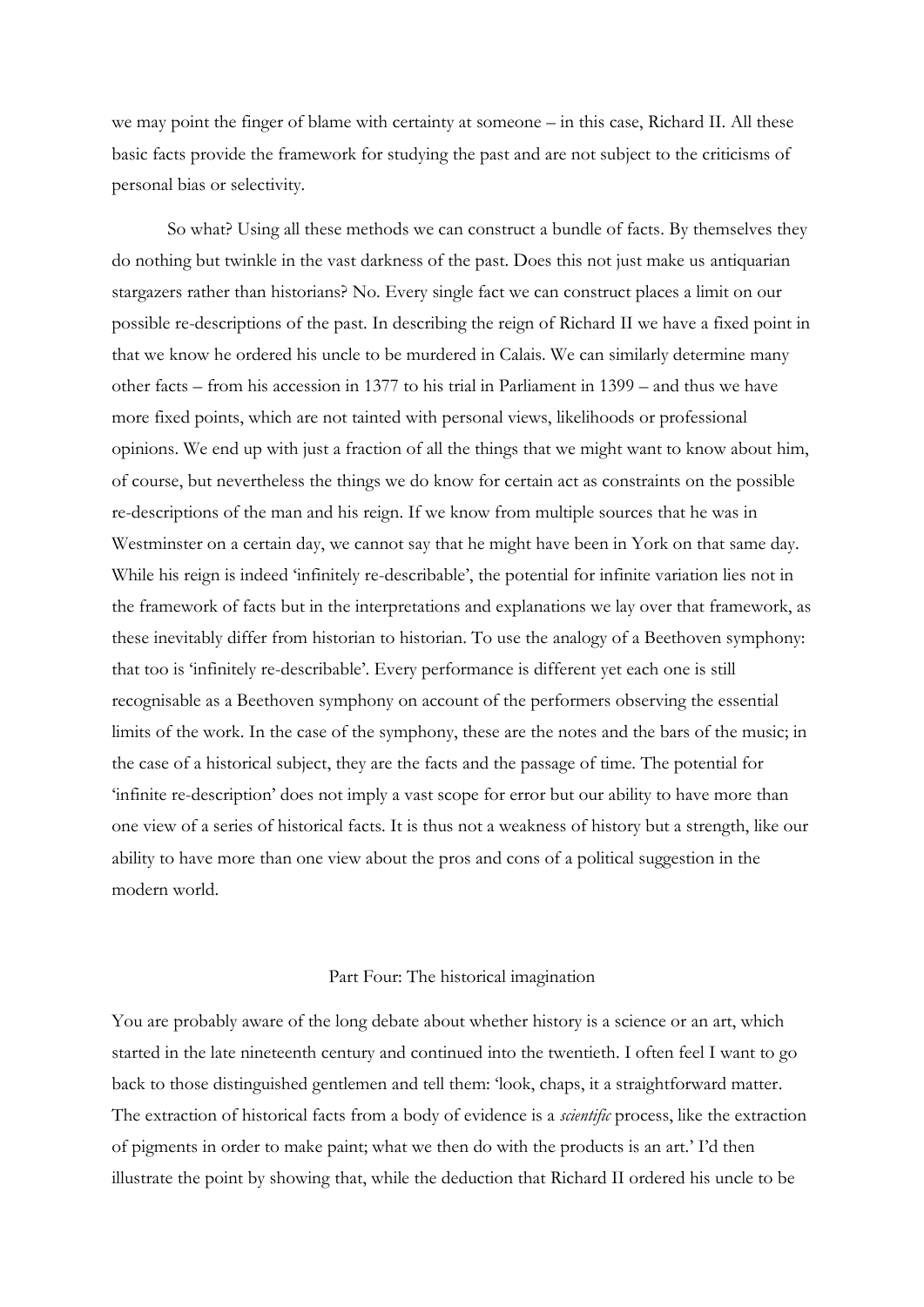we may point the finger of blame with certainty at someone – in this case, Richard II. All these basic facts provide the framework for studying the past and are not subject to the criticisms of personal bias or selectivity.

So what? Using all these methods we can construct a bundle of facts. By themselves they do nothing but twinkle in the vast darkness of the past. Does this not just make us antiquarian stargazers rather than historians? No. Every single fact we can construct places a limit on our possible re-descriptions of the past. In describing the reign of Richard II we have a fixed point in that we know he ordered his uncle to be murdered in Calais. We can similarly determine many other facts – from his accession in 1377 to his trial in Parliament in 1399 – and thus we have more fixed points, which are not tainted with personal views, likelihoods or professional opinions. We end up with just a fraction of all the things that we might want to know about him, of course, but nevertheless the things we do know for certain act as constraints on the possible re-descriptions of the man and his reign. If we know from multiple sources that he was in Westminster on a certain day, we cannot say that he might have been in York on that same day. While his reign is indeed 'infinitely re-describable', the potential for infinite variation lies not in the framework of facts but in the interpretations and explanations we lay over that framework, as these inevitably differ from historian to historian. To use the analogy of a Beethoven symphony: that too is 'infinitely re-describable'. Every performance is different yet each one is still recognisable as a Beethoven symphony on account of the performers observing the essential limits of the work. In the case of the symphony, these are the notes and the bars of the music; in the case of a historical subject, they are the facts and the passage of time. The potential for 'infinite re-description' does not imply a vast scope for error but our ability to have more than one view of a series of historical facts. It is thus not a weakness of history but a strength, like our ability to have more than one view about the pros and cons of a political suggestion in the modern world.

## Part Four: The historical imagination

You are probably aware of the long debate about whether history is a science or an art, which started in the late nineteenth century and continued into the twentieth. I often feel I want to go back to those distinguished gentlemen and tell them: 'look, chaps, it a straightforward matter. The extraction of historical facts from a body of evidence is a *scientific* process, like the extraction of pigments in order to make paint; what we then do with the products is an art.' I'd then illustrate the point by showing that, while the deduction that Richard II ordered his uncle to be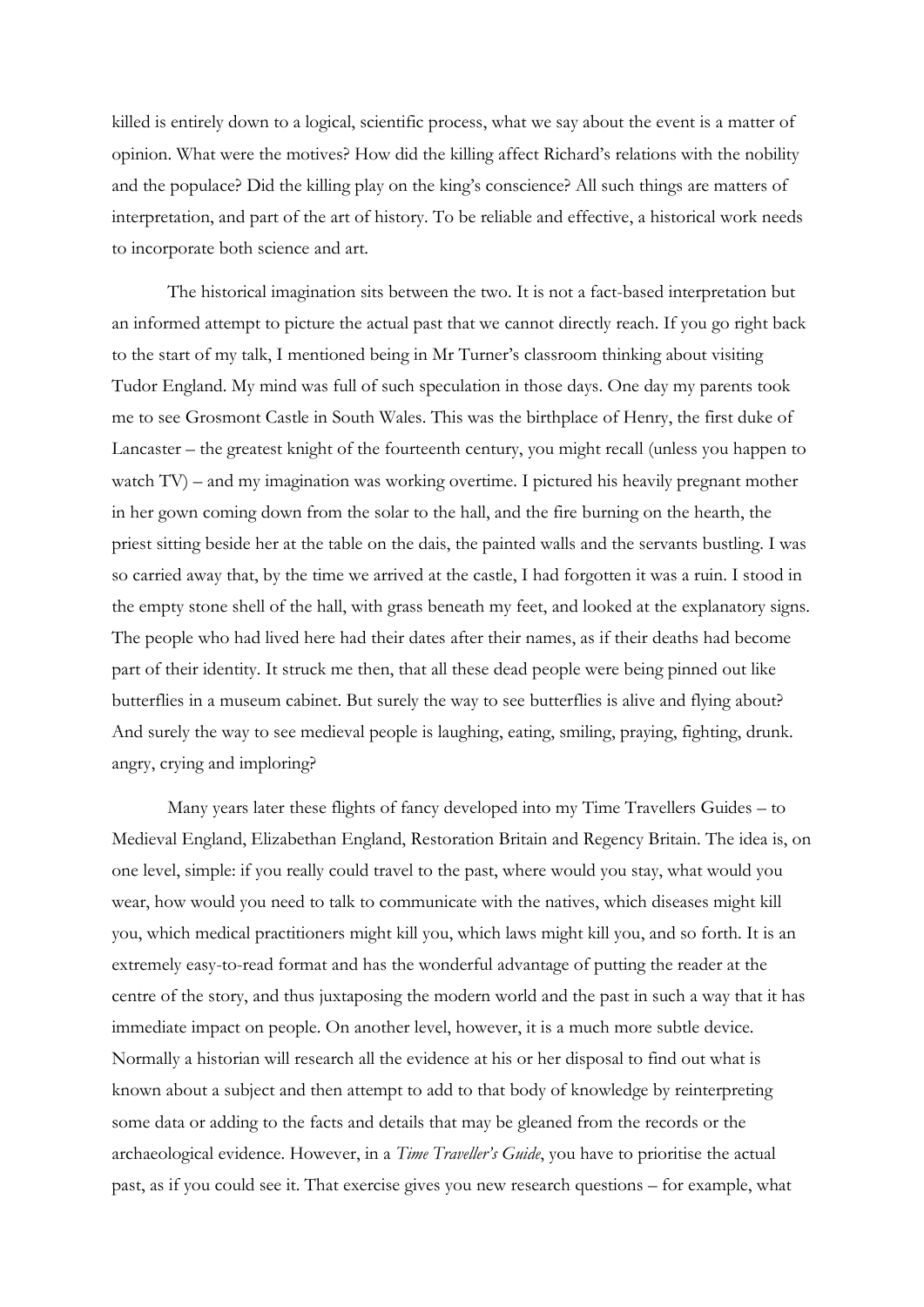killed is entirely down to a logical, scientific process, what we say about the event is a matter of opinion. What were the motives? How did the killing affect Richard's relations with the nobility and the populace? Did the killing play on the king's conscience? All such things are matters of interpretation, and part of the art of history. To be reliable and effective, a historical work needs to incorporate both science and art.

The historical imagination sits between the two. It is not a fact-based interpretation but an informed attempt to picture the actual past that we cannot directly reach. If you go right back to the start of my talk, I mentioned being in Mr Turner's classroom thinking about visiting Tudor England. My mind was full of such speculation in those days. One day my parents took me to see Grosmont Castle in South Wales. This was the birthplace of Henry, the first duke of Lancaster – the greatest knight of the fourteenth century, you might recall (unless you happen to watch TV) – and my imagination was working overtime. I pictured his heavily pregnant mother in her gown coming down from the solar to the hall, and the fire burning on the hearth, the priest sitting beside her at the table on the dais, the painted walls and the servants bustling. I was so carried away that, by the time we arrived at the castle, I had forgotten it was a ruin. I stood in the empty stone shell of the hall, with grass beneath my feet, and looked at the explanatory signs. The people who had lived here had their dates after their names, as if their deaths had become part of their identity. It struck me then, that all these dead people were being pinned out like butterflies in a museum cabinet. But surely the way to see butterflies is alive and flying about? And surely the way to see medieval people is laughing, eating, smiling, praying, fighting, drunk. angry, crying and imploring?

Many years later these flights of fancy developed into my Time Travellers Guides – to Medieval England, Elizabethan England, Restoration Britain and Regency Britain. The idea is, on one level, simple: if you really could travel to the past, where would you stay, what would you wear, how would you need to talk to communicate with the natives, which diseases might kill you, which medical practitioners might kill you, which laws might kill you, and so forth. It is an extremely easy-to-read format and has the wonderful advantage of putting the reader at the centre of the story, and thus juxtaposing the modern world and the past in such a way that it has immediate impact on people. On another level, however, it is a much more subtle device. Normally a historian will research all the evidence at his or her disposal to find out what is known about a subject and then attempt to add to that body of knowledge by reinterpreting some data or adding to the facts and details that may be gleaned from the records or the archaeological evidence. However, in a *Time Traveller's Guide*, you have to prioritise the actual past, as if you could see it. That exercise gives you new research questions – for example, what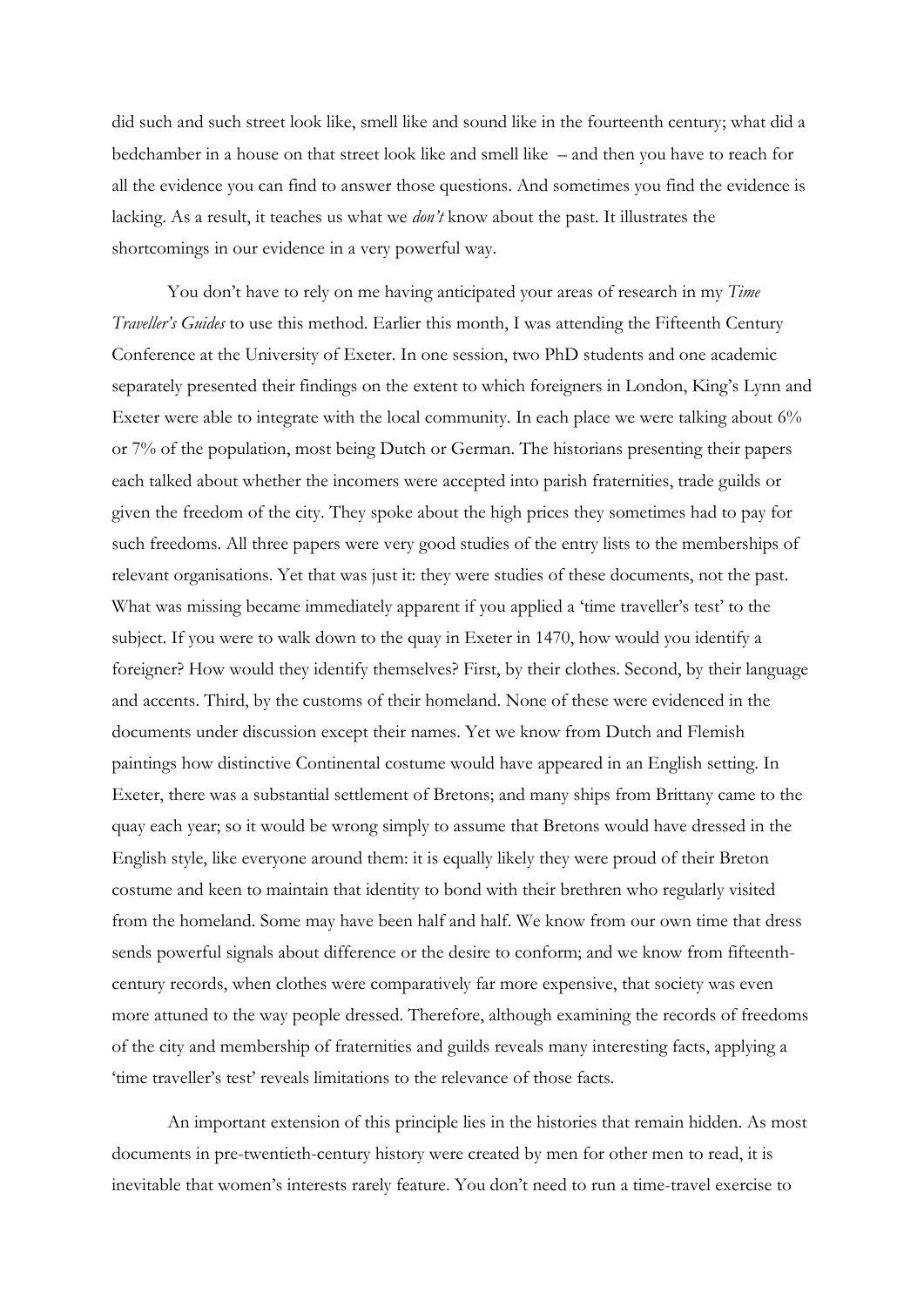did such and such street look like, smell like and sound like in the fourteenth century; what did a bedchamber in a house on that street look like and smell like – and then you have to reach for all the evidence you can find to answer those questions. And sometimes you find the evidence is lacking. As a result, it teaches us what we *don't* know about the past. It illustrates the shortcomings in our evidence in a very powerful way.

You don't have to rely on me having anticipated your areas of research in my *Time Traveller's Guides* to use this method. Earlier this month, I was attending the Fifteenth Century Conference at the University of Exeter. In one session, two PhD students and one academic separately presented their findings on the extent to which foreigners in London, King's Lynn and Exeter were able to integrate with the local community. In each place we were talking about 6% or 7% of the population, most being Dutch or German. The historians presenting their papers each talked about whether the incomers were accepted into parish fraternities, trade guilds or given the freedom of the city. They spoke about the high prices they sometimes had to pay for such freedoms. All three papers were very good studies of the entry lists to the memberships of relevant organisations. Yet that was just it: they were studies of these documents, not the past. What was missing became immediately apparent if you applied a 'time traveller's test' to the subject. If you were to walk down to the quay in Exeter in 1470, how would you identify a foreigner? How would they identify themselves? First, by their clothes. Second, by their language and accents. Third, by the customs of their homeland. None of these were evidenced in the documents under discussion except their names. Yet we know from Dutch and Flemish paintings how distinctive Continental costume would have appeared in an English setting. In Exeter, there was a substantial settlement of Bretons; and many ships from Brittany came to the quay each year; so it would be wrong simply to assume that Bretons would have dressed in the English style, like everyone around them: it is equally likely they were proud of their Breton costume and keen to maintain that identity to bond with their brethren who regularly visited from the homeland. Some may have been half and half. We know from our own time that dress sends powerful signals about difference or the desire to conform; and we know from fifteenthcentury records, when clothes were comparatively far more expensive, that society was even more attuned to the way people dressed. Therefore, although examining the records of freedoms of the city and membership of fraternities and guilds reveals many interesting facts, applying a 'time traveller's test' reveals limitations to the relevance of those facts.

An important extension of this principle lies in the histories that remain hidden. As most documents in pre-twentieth-century history were created by men for other men to read, it is inevitable that women's interests rarely feature. You don't need to run a time-travel exercise to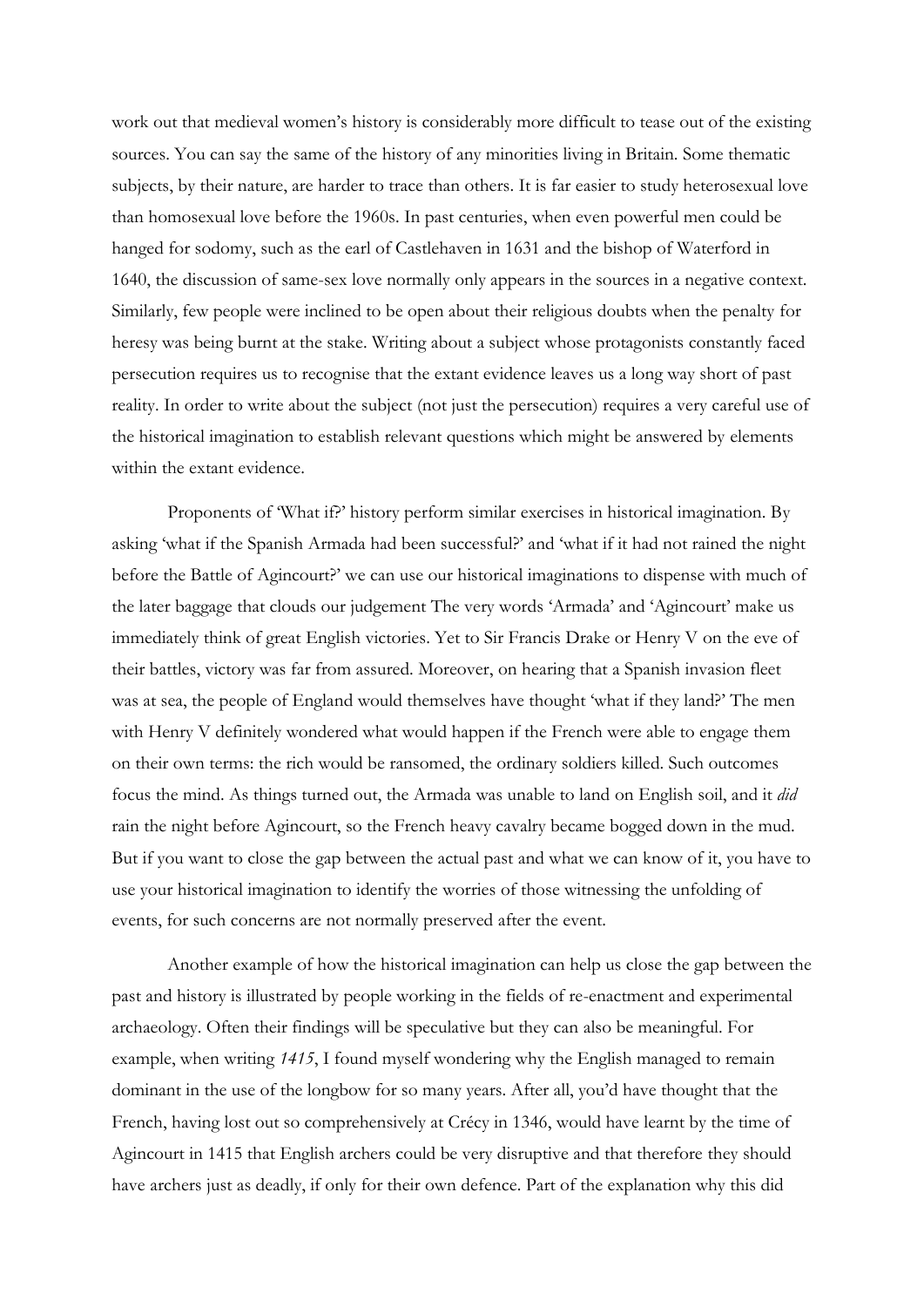work out that medieval women's history is considerably more difficult to tease out of the existing sources. You can say the same of the history of any minorities living in Britain. Some thematic subjects, by their nature, are harder to trace than others. It is far easier to study heterosexual love than homosexual love before the 1960s. In past centuries, when even powerful men could be hanged for sodomy, such as the earl of Castlehaven in 1631 and the bishop of Waterford in 1640, the discussion of same-sex love normally only appears in the sources in a negative context. Similarly, few people were inclined to be open about their religious doubts when the penalty for heresy was being burnt at the stake. Writing about a subject whose protagonists constantly faced persecution requires us to recognise that the extant evidence leaves us a long way short of past reality. In order to write about the subject (not just the persecution) requires a very careful use of the historical imagination to establish relevant questions which might be answered by elements within the extant evidence.

Proponents of 'What if?' history perform similar exercises in historical imagination. By asking 'what if the Spanish Armada had been successful?' and 'what if it had not rained the night before the Battle of Agincourt?' we can use our historical imaginations to dispense with much of the later baggage that clouds our judgement The very words 'Armada' and 'Agincourt' make us immediately think of great English victories. Yet to Sir Francis Drake or Henry V on the eve of their battles, victory was far from assured. Moreover, on hearing that a Spanish invasion fleet was at sea, the people of England would themselves have thought 'what if they land?' The men with Henry V definitely wondered what would happen if the French were able to engage them on their own terms: the rich would be ransomed, the ordinary soldiers killed. Such outcomes focus the mind. As things turned out, the Armada was unable to land on English soil, and it *did* rain the night before Agincourt, so the French heavy cavalry became bogged down in the mud. But if you want to close the gap between the actual past and what we can know of it, you have to use your historical imagination to identify the worries of those witnessing the unfolding of events, for such concerns are not normally preserved after the event.

Another example of how the historical imagination can help us close the gap between the past and history is illustrated by people working in the fields of re-enactment and experimental archaeology. Often their findings will be speculative but they can also be meaningful. For example, when writing *1415*, I found myself wondering why the English managed to remain dominant in the use of the longbow for so many years. After all, you'd have thought that the French, having lost out so comprehensively at Crécy in 1346, would have learnt by the time of Agincourt in 1415 that English archers could be very disruptive and that therefore they should have archers just as deadly, if only for their own defence. Part of the explanation why this did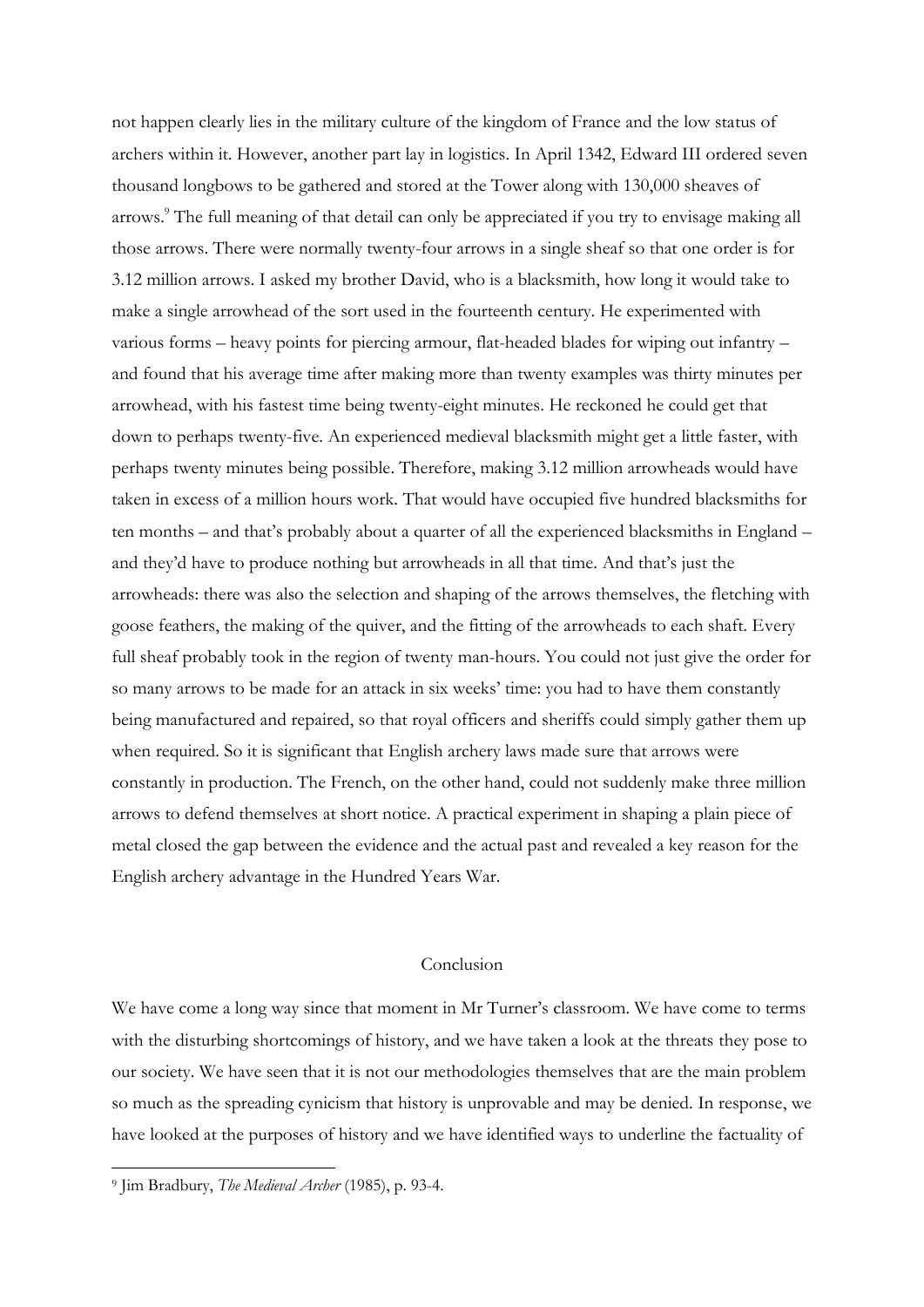not happen clearly lies in the military culture of the kingdom of France and the low status of archers within it. However, another part lay in logistics. In April 1342, Edward III ordered seven thousand longbows to be gathered and stored at the Tower along with 130,000 sheaves of arrows.<sup>9</sup> The full meaning of that detail can only be appreciated if you try to envisage making all those arrows. There were normally twenty-four arrows in a single sheaf so that one order is for 3.12 million arrows. I asked my brother David, who is a blacksmith, how long it would take to make a single arrowhead of the sort used in the fourteenth century. He experimented with various forms – heavy points for piercing armour, flat-headed blades for wiping out infantry – and found that his average time after making more than twenty examples was thirty minutes per arrowhead, with his fastest time being twenty-eight minutes. He reckoned he could get that down to perhaps twenty-five. An experienced medieval blacksmith might get a little faster, with perhaps twenty minutes being possible. Therefore, making 3.12 million arrowheads would have taken in excess of a million hours work. That would have occupied five hundred blacksmiths for ten months – and that's probably about a quarter of all the experienced blacksmiths in England – and they'd have to produce nothing but arrowheads in all that time. And that's just the arrowheads: there was also the selection and shaping of the arrows themselves, the fletching with goose feathers, the making of the quiver, and the fitting of the arrowheads to each shaft. Every full sheaf probably took in the region of twenty man-hours. You could not just give the order for so many arrows to be made for an attack in six weeks' time: you had to have them constantly being manufactured and repaired, so that royal officers and sheriffs could simply gather them up when required. So it is significant that English archery laws made sure that arrows were constantly in production. The French, on the other hand, could not suddenly make three million arrows to defend themselves at short notice. A practical experiment in shaping a plain piece of metal closed the gap between the evidence and the actual past and revealed a key reason for the English archery advantage in the Hundred Years War.

## Conclusion

We have come a long way since that moment in Mr Turner's classroom. We have come to terms with the disturbing shortcomings of history, and we have taken a look at the threats they pose to our society. We have seen that it is not our methodologies themselves that are the main problem so much as the spreading cynicism that history is unprovable and may be denied. In response, we have looked at the purposes of history and we have identified ways to underline the factuality of

<sup>9</sup> Jim Bradbury, *The Medieval Archer* (1985), p. 93-4.